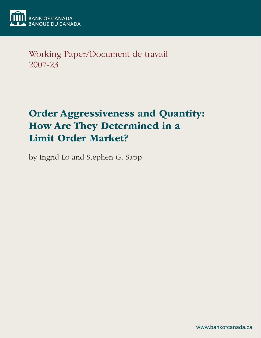

Working Paper/Document de travail 2007-23

# Order Aggressiveness and Quantity: How Are They Determined in a Limit Order Market?

by Ingrid Lo and Stephen G. Sapp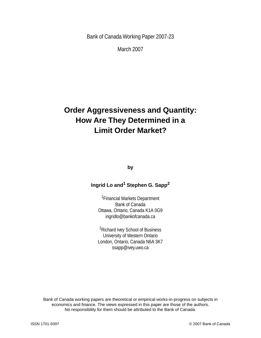Bank of Canada Working Paper 2007-23

March 2007

# **Order Aggressiveness and Quantity: How Are They Determined in a Limit Order Market?**

**by**

# **Ingrid Lo and<sup>1</sup> Stephen G. Sapp2**

1Financial Markets Department Bank of Canada Ottawa, Ontario, Canada K1A 0G9 ingridlo@bankofcanada.ca

2Richard Ivey School of Business University of Western Ontario London, Ontario, Canada N6A 3K7 ssapp@ivey.uwo.ca

Bank of Canada working papers are theoretical or empirical works-in-progress on subjects in economics and finance. The views expressed in this paper are those of the authors. No responsibility for them should be attributed to the Bank of Canada.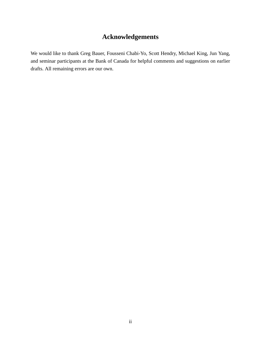# **Acknowledgements**

We would like to thank Greg Bauer, Fousseni Chabi-Yo, Scott Hendry, Michael King, Jun Yang, and seminar participants at the Bank of Canada for helpful comments and suggestions on earlier drafts. All remaining errors are our own.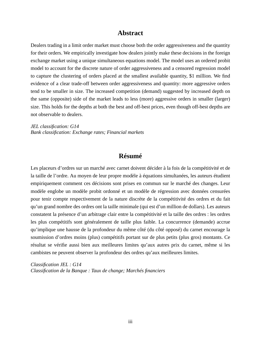### **Abstract**

Dealers trading in a limit order market must choose both the order aggressiveness and the quantity for their orders. We empirically investigate how dealers jointly make these decisions in the foreign exchange market using a unique simultaneous equations model. The model uses an ordered probit model to account for the discrete nature of order aggressiveness and a censored regression model to capture the clustering of orders placed at the smallest available quantity, \$1 million. We find evidence of a clear trade-off between order aggressiveness and quantity: more aggressive orders tend to be smaller in size. The increased competition (demand) suggested by increased depth on the same (opposite) side of the market leads to less (more) aggressive orders in smaller (larger) size. This holds for the depths at both the best and off-best prices, even though off-best depths are not observable to dealers.

*JEL classification: G14 Bank classification: Exchange rates; Financial markets*

# **Résumé**

Les placeurs d'ordres sur un marché avec carnet doivent décider à la fois de la compétitivité et de la taille de l'ordre. Au moyen de leur propre modèle à équations simultanées, les auteurs étudient empiriquement comment ces décisions sont prises en commun sur le marché des changes. Leur modèle englobe un modèle probit ordonné et un modèle de régression avec données censurées pour tenir compte respectivement de la nature discrète de la compétitivité des ordres et du fait qu'un grand nombre des ordres ont la taille minimale (qui est d'un million de dollars). Les auteurs constatent la présence d'un arbitrage clair entre la compétitivité et la taille des ordres : les ordres les plus compétitifs sont généralement de taille plus faible. La concurrence (demande) accrue qu'implique une hausse de la profondeur du même côté (du côté opposé) du carnet encourage la soumission d'ordres moins (plus) compétitifs portant sur de plus petits (plus gros) montants. Ce résultat se vérifie aussi bien aux meilleures limites qu'aux autres prix du carnet, même si les cambistes ne peuvent observer la profondeur des ordres qu'aux meilleures limites.

*Classification JEL : G14 Classification de la Banque : Taux de change; Marchés financiers*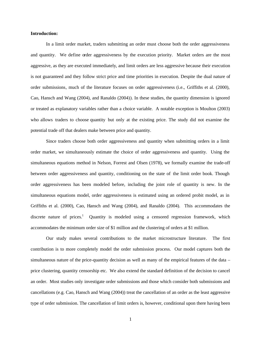#### **Introduction:**

In a limit order market, traders submitting an order must choose both the order aggressiveness and quantity. We define order aggressiveness by the execution priority. Market orders are the most aggressive, as they are executed immediately, and limit orders are less aggressive because their execution is not guaranteed and they follow strict price and time priorities in execution. Despite the dual nature of order submissions, much of the literature focuses on order aggressiveness (i.e., Griffiths et al. (2000), Cao, Hansch and Wang (2004), and Ranaldo (2004)). In these studies, the quantity dimension is ignored or treated as explanatory variables rather than a choice variable. A notable exception is Moulton (2003) who allows traders to choose quantity but only at the existing price. The study did not examine the potential trade off that dealers make between price and quantity.

Since traders choose both order aggressiveness and quantity when submitting orders in a limit order market, we simultaneously estimate the choice of order aggressiveness and quantity. Using the simultaneous equations method in Nelson, Forrest and Olsen (1978), we formally examine the trade-off between order aggressiveness and quantity, conditioning on the state of the limit order book. Though order aggressiveness has been modeled before, including the joint role of quantity is new. In the simultaneous equations model, order aggressiveness is estimated using an ordered probit model, as in Griffiths et al. (2000), Cao, Hansch and Wang (2004), and Ranaldo (2004). This accommodates the discrete nature of prices.<sup>1</sup> Quantity is modeled using a censored regression framework, which accommodates the minimum order size of \$1 million and the clustering of orders at \$1 million.

Our study makes several contributions to the market microstructure literature. The first contribution is to more completely model the order submission process. Our model captures both the simultaneous nature of the price-quantity decision as well as many of the empirical features of the data – price clustering, quantity censorship etc. We also extend the standard definition of the decision to cancel an order. Most studies only investigate order submissions and those which consider both submissions and cancellations (e.g. Cao, Hansch and Wang (2004)) treat the cancellation of an order as the least aggressive type of order submission. The cancellation of limit orders is, however, conditional upon there having been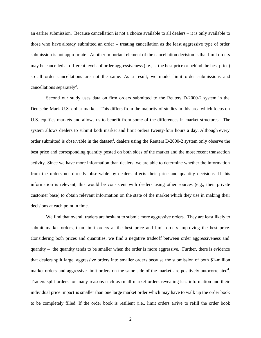an earlier submission. Because cancellation is not a choice available to all dealers – it is only available to those who have already submitted an order – treating cancellation as the least aggressive type of order submission is not appropriate. Another important element of the cancellation decision is that limit orders may be cancelled at different levels of order aggressiveness (i.e., at the best price or behind the best price) so all order cancellations are not the same. As a result, we model limit order submissions and cancellations separately<sup>2</sup>.

Second our study uses data on firm orders submitted to the Reuters D-2000-2 system in the Deutsche Mark-U.S. dollar market. This differs from the majority of studies in this area which focus on U.S. equities markets and allows us to benefit from some of the differences in market structures. The system allows dealers to submit both market and limit orders twenty-four hours a day. Although every order submitted is observable in the dataset<sup>3</sup>, dealers using the Reuters D-2000-2 system only observe the best price and corresponding quantity posted on both sides of the market and the most recent transaction activity. Since we have more information than dealers, we are able to determine whether the information from the orders not directly observable by dealers affects their price and quantity decisions. If this information is relevant, this would be consistent with dealers using other sources (e.g., their private customer base) to obtain relevant information on the state of the market which they use in making their decisions at each point in time.

We find that overall traders are hesitant to submit more aggressive orders. They are least likely to submit market orders, than limit orders at the best price and limit orders improving the best price. Considering both prices and quantities, we find a negative tradeoff between order aggressiveness and quantity – the quantity tends to be smaller when the order is more aggressive. Further, there is evidence that dealers split large, aggressive orders into smaller orders because the submission of both \$1-million market orders and aggressive limit orders on the same side of the market are positively autocorrelated<sup>4</sup>. Traders split orders for many reasons such as small market orders revealing less information and their individual price impact is smaller than one large market order which may have to walk up the order book to be completely filled. If the order book is resilient (i.e., limit orders arrive to refill the order book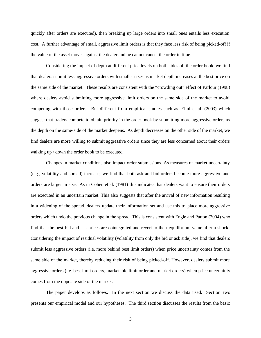quickly after orders are executed), then breaking up large orders into small ones entails less execution cost. A further advantage of small, aggressive limit orders is that they face less risk of being picked-off if the value of the asset moves against the dealer and he cannot cancel the order in time.

Considering the impact of depth at different price levels on both sides of the order book, we find that dealers submit less aggressive orders with smaller sizes as market depth increases at the best price on the same side of the market. These results are consistent with the "crowding out" effect of Parlour (1998) where dealers avoid submitting more aggressive limit orders on the same side of the market to avoid competing with those orders. But different from empirical studies such as. Ellul et al. (2003) which suggest that traders compete to obtain priority in the order book by submitting more aggressive orders as the depth on the same-side of the market deepens. As depth decreases on the other side of the market, we find dealers are more willing to submit aggressive orders since they are less concerned about their orders walking up / down the order book to be executed.

Changes in market conditions also impact order submissions. As measures of market uncertainty (e.g., volatility and spread) increase, we find that both ask and bid orders become more aggressive and orders are larger in size. As in Cohen et al. (1981) this indicates that dealers want to ensure their orders are executed in an uncertain market. This also suggests that after the arrival of new information resulting in a widening of the spread, dealers update their information set and use this to place more aggressive orders which undo the previous change in the spread. This is consistent with Engle and Patton (2004) who find that the best bid and ask prices are cointegrated and revert to their equilibrium value after a shock. Considering the impact of residual volatility (volatility from only the bid or ask side), we find that dealers submit less aggressive orders (i.e. more behind best limit orders) when price uncertainty comes from the same side of the market, thereby reducing their risk of being picked-off. However, dealers submit more aggressive orders (i.e. best limit orders, marketable limit order and market orders) when price uncertainty comes from the opposite side of the market.

The paper develops as follows. In the next section we discuss the data used. Section two presents our empirical model and our hypotheses. The third section discusses the results from the basic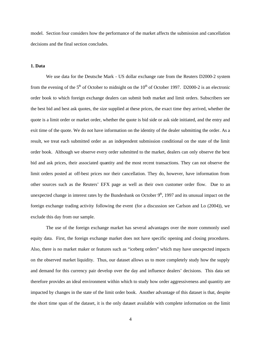model. Section four considers how the performance of the market affects the submission and cancellation decisions and the final section concludes.

#### **1. Data**

We use data for the Deutsche Mark - US dollar exchange rate from the Reuters D2000-2 system from the evening of the  $5<sup>th</sup>$  of October to midnight on the  $10<sup>th</sup>$  of October 1997. D2000-2 is an electronic order book to which foreign exchange dealers can submit both market and limit orders. Subscribers see the best bid and best ask quotes, the size supplied at these prices, the exact time they arrived, whether the quote is a limit order or market order, whether the quote is bid side or ask side initiated, and the entry and exit time of the quote. We do not have information on the identity of the dealer submitting the order. As a result, we treat each submitted order as an independent submission conditional on the state of the limit order book. Although we observe every order submitted to the market, dealers can only observe the best bid and ask prices, their associated quantity and the most recent transactions. They can not observe the limit orders posted at off-best prices nor their cancellation. They do, however, have information from other sources such as the Reuters' EFX page as well as their own customer order flow. Due to an unexpected change in interest rates by the Bundesbank on October  $9<sup>th</sup>$ , 1997 and its unusual impact on the foreign exchange trading activity following the event (for a discussion see Carlson and Lo (2004)), we exclude this day from our sample.

The use of the foreign exchange market has several advantages over the more commonly used equity data. First, the foreign exchange market does not have specific opening and closing procedures. Also, there is no market maker or features such as "iceberg orders" which may have unexpected impacts on the observed market liquidity. Thus, our dataset allows us to more completely study how the supply and demand for this currency pair develop over the day and influence dealers' decisions. This data set therefore provides an ideal environment within which to study how order aggressiveness and quantity are impacted by changes in the state of the limit order book. Another advantage of this dataset is that, despite the short time span of the dataset, it is the only dataset available with complete information on the limit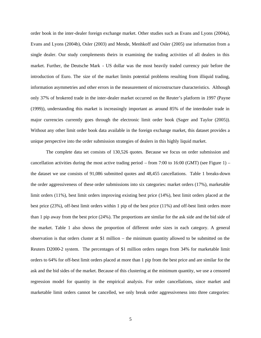order book in the inter-dealer foreign exchange market. Other studies such as Evans and Lyons (2004a), Evans and Lyons (2004b), Osler (2003) and Mende, Menhkoff and Osler (2005) use information from a single dealer. Our study complements theirs in examining the trading activities of all dealers in this market. Further, the Deutsche Mark - US dollar was the most heavily traded currency pair before the introduction of Euro. The size of the market limits potential problems resulting from illiquid trading, information asymmetries and other errors in the measurement of microstructure characteristics. Although only 37% of brokered trade in the inter-dealer market occurred on the Reuter's platform in 1997 (Payne (1999)), understanding this market is increasingly important as around 85% of the interdealer trade in major currencies currently goes through the electronic limit order book (Sager and Taylor (2005)). Without any other limit order book data available in the foreign exchange market, this dataset provides a unique perspective into the order submission strategies of dealers in this highly liquid market.

The complete data set consists of 130,526 quotes. Because we focus on order submission and cancellation activities during the most active trading period – from 7:00 to 16:00 (GMT) (see Figure 1) – the dataset we use consists of 91,086 submitted quotes and 48,455 cancellations. Table 1 breaks-down the order aggressiveness of these order submissions into six categories: market orders (17%), marketable limit orders (11%), best limit orders improving existing best price (14%), best limit orders placed at the best price (23%), off-best limit orders within 1 pip of the best price (11%) and off-best limit orders more than 1 pip away from the best price (24%). The proportions are similar for the ask side and the bid side of the market. Table 1 also shows the proportion of different order sizes in each category. A general observation is that orders cluster at \$1 million – the minimum quantity allowed to be submitted on the Reuters D2000-2 system. The percentages of \$1 million orders ranges from 34% for marketable limit orders to 64% for off-best limit orders placed at more than 1 pip from the best price and are similar for the ask and the bid sides of the market. Because of this clustering at the minimum quantity, we use a censored regression model for quantity in the empirical analysis. For order cancellations, since market and marketable limit orders cannot be cancelled, we only break order aggressiveness into three categories: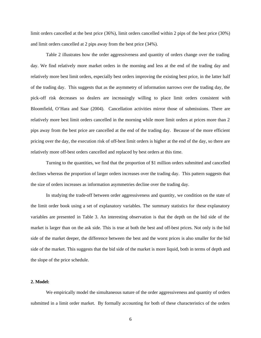limit orders cancelled at the best price (36%), limit orders cancelled within 2 pips of the best price (30%) and limit orders cancelled at 2 pips away from the best price (34%).

Table 2 illustrates how the order aggressiveness and quantity of orders change over the trading day. We find relatively more market orders in the morning and less at the end of the trading day and relatively more best limit orders, especially best orders improving the existing best price, in the latter half of the trading day. This suggests that as the asymmetry of information narrows over the trading day, the pick-off risk decreases so dealers are increasingly willing to place limit orders consistent with Bloomfield, O'Hara and Saar (2004). Cancellation activities mirror those of submissions. There are relatively more best limit orders cancelled in the morning while more limit orders at prices more than 2 pips away from the best price are cancelled at the end of the trading day. Because of the more efficient pricing over the day, the execution risk of off-best limit orders is higher at the end of the day, so there are relatively more off-best orders cancelled and replaced by best orders at this time.

Turning to the quantities, we find that the proportion of \$1 million orders submitted and cancelled declines whereas the proportion of larger orders increases over the trading day. This pattern suggests that the size of orders increases as information asymmetries decline over the trading day.

In studying the trade-off between order aggressiveness and quantity, we condition on the state of the limit order book using a set of explanatory variables. The summary statistics for these explanatory variables are presented in Table 3. An interesting observation is that the depth on the bid side of the market is larger than on the ask side. This is true at both the best and off-best prices. Not only is the bid side of the market deeper, the difference between the best and the worst prices is also smaller for the bid side of the market. This suggests that the bid side of the market is more liquid, both in terms of depth and the slope of the price schedule.

#### **2. Model:**

We empirically model the simultaneous nature of the order aggressiveness and quantity of orders submitted in a limit order market. By formally accounting for both of these characteristics of the orders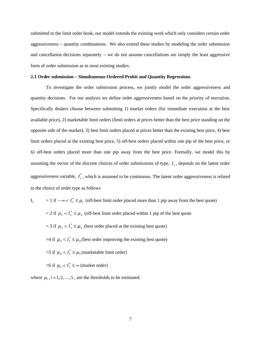submitted to the limit order book, our model extends the existing work which only considers certain order aggressiveness – quantity combinations. We also extend these studies by modeling the order submission and cancellation decisions separately – we do not assume cancellations are simply the least aggressive form of order submission as in most existing studies.

#### **2.1 Order submission – Simultaneous Ordered Probit and Quantity Regressions**

To investigate the order submission process, we jointly model the order aggressiveness and quantity decisions. For our analysis we define order aggressiveness based on the priority of execution. Specifically dealers choose between submitting 1) market orders (for immediate execution at the best available price), 2) marketable limit orders (limit orders at prices better than the best price standing on the opposite side of the market), 3) best limit orders placed at prices better than the existing best price, 4) best limit orders placed at the existing best price, 5) off-best orders placed within one pip of the best price, or 6) off-best orders placed more than one pip away from the best price. Formally, we model this by assuming the vector of the discrete choices of order submissions of type,  $I_s$ , depends on the latent order aggressiveness variable,  $I_s^*$ , which is assumed to be continuous. The latent order aggressiveness is related to the choice of order type as follows

I<sub>s</sub>  $= 1$  if  $-\infty < I_s^* \leq \mu_1$  (off-best limit order placed more than 1 pip away from the best quote)  $= 2$  if  $\mu_1 < I_s^* \leq \mu_2$  (off-best limit order placed within 1 pip of the best quote  $= 3$  if  $\mu_2 < I_s^* \leq \mu_3$  (best order placed at the existing best quote)  $=4$  if  $\mu_3 < I_s^* \leq \mu_4$  (best order improving the existing best quote)  $=$ 5 if  $\mu$ <sub>4</sub> <  $I_s^*$   $\leq \mu$ <sub>5</sub> (marketable limit order)  $=6$  if  $\mu_5 < I_s^* \leq \infty$  (market order)

where  $\mu_i$ ,  $i = 1, 2, \dots, 5$ , are the thresholds to be estimated.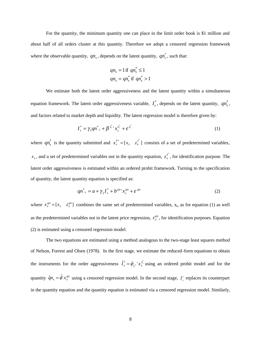For the quantity, the minimum quantity one can place in the limit order book is \$1 million and about half of all orders cluster at this quantity. Therefore we adopt a censored regression framework where the observable quantity,  $qn_s$ , depends on the latent quantity,  $qn_s^*$ , such that:

$$
qn_s = 1 \text{ if } qn_s^* \le 1
$$
  

$$
qn_s = qn_s^* \text{ if } qn_s^* > 1
$$

We estimate both the latent order aggressiveness and the latent quantity within a simultaneous equation framework. The latent order aggressiveness variable,  $I_s^*$ , depends on the latent quantity,  $qn_s^*$ , and factors related to market depth and liquidity. The latent regression model is therefore given by:

$$
I_s^* = \gamma_1 q n^* + \beta^{I_s^* \cdot \cdot} x_s^{I_s^*} + \varepsilon^{I_s^*} \tag{1}
$$

where  $qn_s^*$  is the quantity submitted and  $x_s^{I^*} = [x_s \quad z_x^{I^*}]$  consists of a set of predetermined variables,  $x_s$ , and a set of predetermined variables not in the quantity equation,  $z_x^{l^*}$ , for identification purpose. The latent order aggressiveness is estimated within an ordered probit framework. Turning to the specification of quantity, the latent quantity equation is specified as:

$$
qn^*_{s} = a + \gamma_2 I_s^* + b^{qn} x_s^{qn} + \varepsilon^{qn}
$$
 (2)

where  $x_s^{qn} = [x_s \quad z_s^{qn}]$  combines the same set of predetermined variables, x<sub>s</sub>, as for equation (1) as well as the predetermined variables not in the latent price regression,  $z_x^{qn}$ , for identification purposes. Equation (2) is estimated using a censored regression model.

The two equations are estimated using a method analogous to the two-stage least squares method of Nelson, Forrest and Olsen (1978). In the first stage, we estimate the reduced-form equations to obtain the instruments for the order aggressiveness  $\hat{I}_s^* = \hat{\varphi}_{I^*}$ ,  $x_s^{I_s^*}$  using an ordered probit model and for the quantity  $\hat{q}n_s = \hat{\phi}^r x_s^{qn}$  using a censored regression model. In the second stage,  $\hat{I}_s^*$  replaces its counterpart in the quantity equation and the quantity equation is estimated via a censored regression model. Similarly,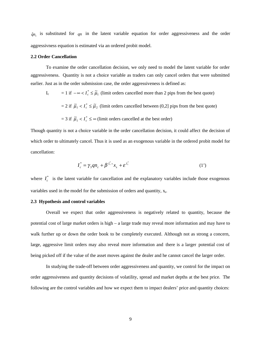$\hat{q}_n$  is substituted for  $q_n$  in the latent variable equation for order aggressiveness and the order aggressivness equation is estimated via an ordered probit model.

#### **2.2 Order Cancellation**

To examine the order cancellation decision, we only need to model the latent variable for order aggressiveness. Quantity is not a choice variable as traders can only cancel orders that were submitted earlier. Just as in the order submission case, the order aggressiveness is defined as:

 $I_c$  = 1 if  $-\infty < I_c^* \leq \tilde{\mu}_1$  (limit orders cancelled more than 2 pips from the best quote)

 $= 2$  if  $\tilde{\mu}_1 < I_c^* \leq \tilde{\mu}_2$  (limit orders cancelled between (0,2] pips from the best quote)

= 3 if 
$$
\tilde{\mu}_1 < I_c^* \leq \infty
$$
 (limit orders cancelled at the best order)

Though quantity is not a choice variable in the order cancellation decision, it could affect the decision of which order to ultimately cancel. Thus it is used as an exogenous variable in the ordered probit model for cancellation:

$$
I_c^* = \gamma_3 q n_c + \beta I_c^* x_s + \varepsilon I_c^* \tag{1'}
$$

where  $I_c^*$  is the latent variable for cancellation and the explanatory variables include those exogenous variables used in the model for the submission of orders and quantity,  $x_s$ .

#### **2.3 Hypothesis and control variables**

Overall we expect that order aggressiveness is negatively related to quantity, because the potential cost of large market orders is high – a large trade may reveal more information and may have to walk further up or down the order book to be completely executed. Although not as strong a concern, large, aggressive limit orders may also reveal more information and there is a larger potential cost of being picked off if the value of the asset moves against the dealer and he cannot cancel the larger order.

In studying the trade-off between order aggressiveness and quantity, we control for the impact on order aggressiveness and quantity decisions of volatility, spread and market depths at the best price. The following are the control variables and how we expect them to impact dealers' price and quantity choices: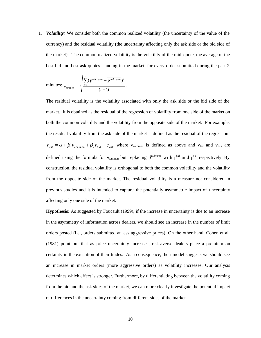1. *Volatility:* We consider both the common realized volatility (the uncertainty of the value of the currency) and the residual volatility (the uncertainty affecting only the ask side or the bid side of the market). The common realized volatility is the volatility of the mid-quote, the average of the best bid and best ask quotes standing in the market, for every order submitted during the past 2

$$
\text{minutes: } v_{common,i} = \sqrt{\frac{\sum_{j=1}^{n} (p^{mid-quote} - \overline{p}^{mid-quote})^2}{(n-1)}}.
$$

The residual volatility is the volatility associated with only the ask side or the bid side of the market. It is obtained as the residual of the regression of volatility from one side of the market on both the common volatility and the volatility from the opposite side of the market. For example, the residual volatility from the ask side of the market is defined as the residual of the regression:  $v_{ask} = \alpha + \beta_1 v_{common} + \beta_2 v_{bid} + \varepsilon_{ask}$  where v<sub>common</sub> is defined as above and v<sub>bid</sub> and v<sub>ask</sub> are defined using the formula for  $v_{common}$  but replacing  $p^{middle}$  with  $p^{bid}$  and  $p^{ask}$  respectively. By construction, the residual volatility is orthogonal to both the common volatility and the volatility from the opposite side of the market. The residual volatility is a measure not considered in previous studies and it is intended to capture the potentially asymmetric impact of uncertainty affecting only one side of the market.

**Hypothesis**: As suggested by Foucault (1999), if the increase in uncertainty is due to an increase in the asymmetry of information across dealers, we should see an increase in the number of limit orders posted (i.e., orders submitted at less aggressive prices). On the other hand, Cohen et al. (1981) point out that as price uncertainty increases, risk-averse dealers place a premium on certainty in the execution of their trades. As a consequence, their model suggests we should see an increase in market orders (more aggressive orders) as volatility increases. Our analysis determines which effect is stronger. Furthermore, by differentiating between the volatility coming from the bid and the ask sides of the market, we can more clearly investigate the potential impact of differences in the uncertainty coming from different sides of the market.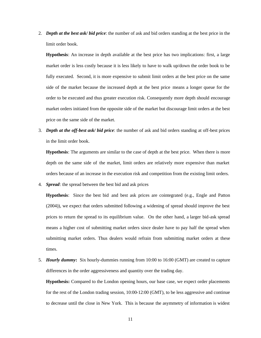2. *Depth at the best ask/ bid price*: the number of ask and bid orders standing at the best price in the limit order book.

**Hypothesis**: An increase in depth available at the best price has two implications: first, a large market order is less costly because it is less likely to have to walk up/down the order book to be fully executed. Second, it is more expensive to submit limit orders at the best price on the same side of the market because the increased depth at the best price means a longer queue for the order to be executed and thus greater execution risk. Consequently more depth should encourage market orders initiated from the opposite side of the market but discourage limit orders at the best price on the same side of the market.

3. *Depth at the off-best ask/ bid price*: the number of ask and bid orders standing at off-best prices in the limit order book.

**Hypothesis**: The arguments are similar to the case of depth at the best price. When there is more depth on the same side of the market, limit orders are relatively more expensive than market orders because of an increase in the execution risk and competition from the existing limit orders.

4. *Spread*: the spread between the best bid and ask prices

**Hypothesis**: Since the best bid and best ask prices are cointegrated (e.g., Engle and Patton (2004)), we expect that orders submitted following a widening of spread should improve the best prices to return the spread to its equilibrium value. On the other hand, a larger bid-ask spread means a higher cost of submitting market orders since dealer have to pay half the spread when submitting market orders. Thus dealers would refrain from submitting market orders at these times.

5. *Hourly dummy***:** Six hourly-dummies running from 10:00 to 16:00 (GMT) are created to capture differences in the order aggressiveness and quantity over the trading day.

**Hypothesis:** Compared to the London opening hours, our base case, we expect order placements for the rest of the London trading session, 10:00-12:00 (GMT), to be less aggressive and continue to decrease until the close in New York. This is because the asymmetry of information is widest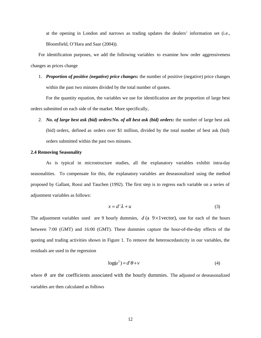at the opening in London and narrows as trading updates the dealers' information set (i.e., Bloomfield, O'Hara and Saar (2004)).

For identification purposes, we add the following variables to examine how order aggressiveness changes as prices change

1. *Proportion of positive (negative) price changes***:** the number of positive (negative) price changes within the past two minutes divided by the total number of quotes.

For the quantity equation, the variables we use for identification are the proportion of large best orders submitted on each side of the market. More specifically,

2. *No. of large best ask (bid) orders/No. of all best ask (bid) orders***:** the number of large best ask (bid) orders, defined as orders over \$1 million, divided by the total number of best ask (bid) orders submitted within the past two minutes.

#### **2.4 Removing Seasonality**

As is typical in microstructure studies, all the explanatory variables exhibit intra-day seasonalities. To compensate for this, the explanatory variables are deseasonalized using the method proposed by Gallant, Rossi and Tauchen (1992). The first step is to regress each variable on a series of adjustment variables as follows:

$$
x = d' \lambda + u \tag{3}
$$

The adjustment variables used are 9 hourly dummies,  $d$  (a  $9 \times 1$  vector), one for each of the hours between 7:00 (GMT) and 16:00 (GMT). These dummies capture the hour-of-the-day effects of the quoting and trading activities shown in Figure 1. To remove the heteroscedasticity in our variables, the residuals are used in the regression

$$
\log(u^2) = d'\theta + v \tag{4}
$$

where  $\theta$  are the coefficients associated with the hourly dummies. The adjusted or deseasonalized variables are then calculated as follows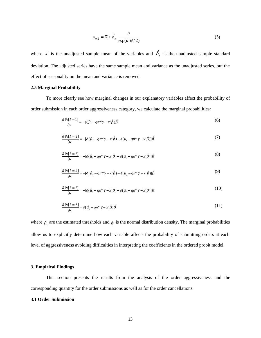$$
x_{adj} = \bar{x} + \hat{\delta}_x \frac{\hat{u}}{\exp(d' \theta/2)}
$$
(5)

where  $\bar{x}$  is the unadjusted sample mean of the variables and  $\hat{\delta}_x$  is the unadjusted sample standard deviation. The adjusted series have the same sample mean and variance as the unadjusted series, but the effect of seasonality on the mean and variance is removed.

#### **2.5 Marginal Probability**

To more clearly see how marginal changes in our explanatory variables affect the probability of order submission in each order aggressiveness category, we calculate the marginal probabilities:

$$
\frac{\partial \Pr[I=1]}{\partial x} = -\phi(\hat{\mu}_1 - qn^* \gamma - \bar{x}^* \hat{\beta})\hat{\beta}
$$
\n(6)

$$
\frac{\partial \Pr[I=2]}{\partial x} = -[\phi(\hat{\mu}_2 - qn^*'\gamma - \bar{x}^*\hat{\beta}) - \phi(\mu_1 - qn^*\gamma - \bar{x}^*\hat{\beta})]\hat{\beta}
$$
\n(7)

$$
\frac{\partial \Pr[I=3]}{\partial x} = -[\phi(\hat{\mu}_3 - qn^{*} \gamma - \bar{x}^{\cdot} \hat{\beta}) - \phi(\mu_2 - qn^{*} \gamma - \bar{x}^{\cdot} \hat{\beta})]\hat{\beta}
$$
(8)

$$
\frac{\partial \Pr[I=4]}{\partial x} = -[\phi(\hat{\mu}_4 - qn^*'\gamma - \bar{x}^*\hat{\beta}) - \phi(\mu_3 - qn^*'\gamma - \bar{x}^*\hat{\beta})]\hat{\beta}
$$
\n(9)

$$
\frac{\partial \Pr[I=5]}{\partial x} = -[\phi(\hat{\mu}_s - qn^{*}\gamma - \bar{x}^*\hat{\beta}) - \phi(\mu_s - qn^{*}\gamma - \bar{x}^*\hat{\beta})]\hat{\beta}
$$
(10)

$$
\frac{\partial \Pr[I=6]}{\partial x} = \phi(\hat{\mu}_5 - qn^*'\gamma - \bar{x}^*\hat{\beta})\hat{\beta}
$$
\n(11)

where  $\mu_i$  are the estimated thresholds and  $\phi$  is the normal distribution density. The marginal probabilities allow us to explicitly determine how each variable affects the probability of submitting orders at each level of aggressiveness avoiding difficulties in interpreting the coefficients in the ordered probit model.

#### **3. Empirical Findings**

This section presents the results from the analysis of the order aggressiveness and the corresponding quantity for the order submissions as well as for the order cancellations.

#### **3.1 Order Submission**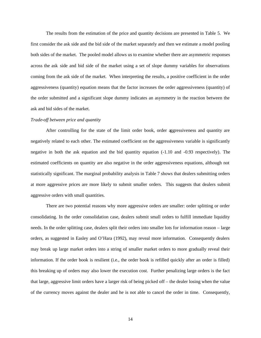The results from the estimation of the price and quantity decisions are presented in Table 5. We first consider the ask side and the bid side of the market separately and then we estimate a model pooling both sides of the market. The pooled model allows us to examine whether there are asymmetric responses across the ask side and bid side of the market using a set of slope dummy variables for observations coming from the ask side of the market. When interpreting the results, a positive coefficient in the order aggressiveness (quantity) equation means that the factor increases the order aggressiveness (quantity) of the order submitted and a significant slope dummy indicates an asymmetry in the reaction between the ask and bid sides of the market.

#### *Trade-off between price and quantity*

After controlling for the state of the limit order book, order aggressiveness and quantity are negatively related to each other. The estimated coefficient on the aggressiveness variable is significantly negative in both the ask equation and the bid quantity equation (-1.10 and -0.93 respectively). The estimated coefficients on quantity are also negative in the order aggressiveness equations, although not statistically significant. The marginal probability analysis in Table 7 shows that dealers submitting orders at more aggressive prices are more likely to submit smaller orders. This suggests that dealers submit aggressive orders with small quantities.

There are two potential reasons why more aggressive orders are smaller: order splitting or order consolidating. In the order consolidation case, dealers submit small orders to fulfill immediate liquidity needs. In the order splitting case, dealers split their orders into smaller lots for information reason – large orders, as suggested in Easley and O'Hara (1992), may reveal more information. Consequently dealers may break up large market orders into a string of smaller market orders to more gradually reveal their information. If the order book is resilient (i.e., the order book is refilled quickly after an order is filled) this breaking up of orders may also lower the execution cost. Further penalizing large orders is the fact that large, aggressive limit orders have a larger risk of being picked off – the dealer losing when the value of the currency moves against the dealer and he is not able to cancel the order in time. Consequently,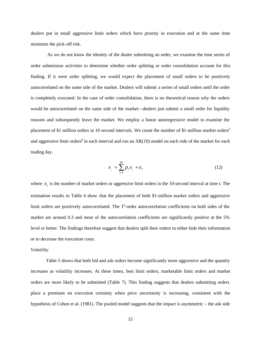dealers put in small aggressive limit orders which have priority in execution and at the same time minimize the pick-off risk.

 As we do not know the identity of the dealer submitting an order, we examine the time series of order submission activities to determine whether order splitting or order consolidation account for this finding. If it were order splitting, we would expect the placement of small orders to be positively autocorrelated on the same side of the market. Dealers will submit a series of small orders until the order is completely executed. In the case of order consolidation, there is no theoretical reason why the orders would be autocorrelated on the same side of the market—dealers just submit a small order for liquidity reasons and subsequently leave the market. We employ a linear autoregressive model to examine the placement of \$1 million orders in 10 second intervals. We count the number of \$1-million market orders<sup>5</sup> and aggressive limit orders<sup>6</sup> in each interval and run an  $AR(10)$  model on each side of the market for each trading day.

$$
x_{t_i} = \sum_{i=1}^{10} \rho_i x_i + \varepsilon_t \tag{12}
$$

where  $x_t$  is the number of market orders or aggressive limit orders in the 10-second interval at time t. The estimation results in Table 4 show that the placement of both \$1-million market orders and aggressive limit orders are positively autocorrelated. The 1<sup>st</sup>-order autocorrelation coefficients on both sides of the market are around 0.3 and most of the autocorrelation coefficients are significantly positive at the 5% level or better. The findings therefore suggest that dealers split their orders to either hide their information or to decrease the execution costs.

#### *Volatility*

Table 5 shows that both bid and ask orders become significantly more aggressive and the quantity increases as volatility increases. At these times, best limit orders, marketable limit orders and market orders are more likely to be submitted (Table 7). This finding suggests that dealers submitting orders place a premium on execution certainty when price uncertainty is increasing, consistent with the hypothesis of Cohen et al. (1981). The pooled model suggests that the impact is asymmetric – the ask side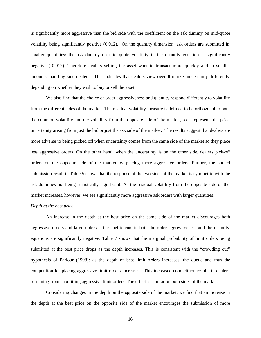is significantly more aggressive than the bid side with the coefficient on the ask dummy on mid-quote volatility being significantly positive (0.012). On the quantity dimension, ask orders are submitted in smaller quantities: the ask dummy on mid quote volatility in the quantity equation is significantly negative (-0.017). Therefore dealers selling the asset want to transact more quickly and in smaller amounts than buy side dealers. This indicates that dealers view overall market uncertainty differently depending on whether they wish to buy or sell the asset.

We also find that the choice of order aggressiveness and quantity respond differently to volatility from the different sides of the market. The residual volatility measure is defined to be orthogonal to both the common volatility and the volatility from the opposite side of the market, so it represents the price uncertainty arising from just the bid or just the ask side of the market. The results suggest that dealers are more adverse to being picked off when uncertainty comes from the same side of the market so they place less aggressive orders. On the other hand, when the uncertainty is on the other side, dealers pick-off orders on the opposite side of the market by placing more aggressive orders. Further, the pooled submission result in Table 5 shows that the response of the two sides of the market is symmetric with the ask dummies not being statistically significant. As the residual volatility from the opposite side of the market increases, however, we see significantly more aggressive ask orders with larger quantities.

#### *Depth at the best price*

An increase in the depth at the best price on the same side of the market discourages both aggressive orders and large orders – the coefficients in both the order aggressiveness and the quantity equations are significantly negative. Table 7 shows that the marginal probability of limit orders being submitted at the best price drops as the depth increases. This is consistent with the "crowding out" hypothesis of Parlour (1998): as the depth of best limit orders increases, the queue and thus the competition for placing aggressive limit orders increases. This increased competition results in dealers refraining from submitting aggressive limit orders. The effect is similar on both sides of the market.

Considering changes in the depth on the opposite side of the market, we find that an increase in the depth at the best price on the opposite side of the market encourages the submission of more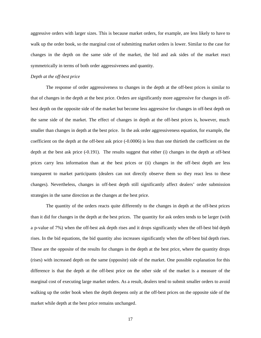aggressive orders with larger sizes. This is because market orders, for example, are less likely to have to walk up the order book, so the marginal cost of submitting market orders is lower. Similar to the case for changes in the depth on the same side of the market, the bid and ask sides of the market react symmetrically in terms of both order aggressiveness and quantity.

#### *Depth at the off-best price*

The response of order aggressiveness to changes in the depth at the off-best prices is similar to that of changes in the depth at the best price. Orders are significantly more aggressive for changes in offbest depth on the opposite side of the market but become less aggressive for changes in off-best depth on the same side of the market. The effect of changes in depth at the off-best prices is, however, much smaller than changes in depth at the best price. In the ask order aggressiveness equation, for example, the coefficient on the depth at the off-best ask price (-0.0006) is less than one thirtieth the coefficient on the depth at the best ask price (-0.191). The results suggest that either (i) changes in the depth at off-best prices carry less information than at the best prices or (ii) changes in the off-best depth are less transparent to market participants (dealers can not directly observe them so they react less to these changes). Nevertheless, changes in off-best depth still significantly affect dealers' order submission strategies in the same direction as the changes at the best price.

The quantity of the orders reacts quite differently to the changes in depth at the off-best prices than it did for changes in the depth at the best prices. The quantity for ask orders tends to be larger (with a p-value of 7%) when the off-best ask depth rises and it drops significantly when the off-best bid depth rises. In the bid equations, the bid quantity also increases significantly when the off-best bid depth rises. These are the opposite of the results for changes in the depth at the best price, where the quantity drops (rises) with increased depth on the same (opposite) side of the market. One possible explanation for this difference is that the depth at the off-best price on the other side of the market is a measure of the marginal cost of executing large market orders. As a result, dealers tend to submit smaller orders to avoid walking up the order book when the depth deepens only at the off-best prices on the opposite side of the market while depth at the best price remains unchanged.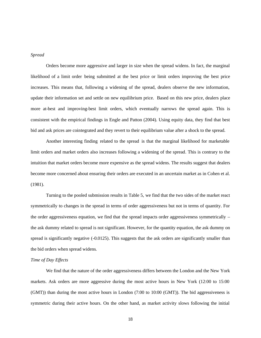#### *Spread*

Orders become more aggressive and larger in size when the spread widens. In fact, the marginal likelihood of a limit order being submitted at the best price or limit orders improving the best price increases. This means that, following a widening of the spread, dealers observe the new information, update their information set and settle on new equilibrium price. Based on this new price, dealers place more at-best and improving-best limit orders, which eventually narrows the spread again. This is consistent with the empirical findings in Engle and Patton (2004). Using equity data, they find that best bid and ask prices are cointegrated and they revert to their equilibrium value after a shock to the spread.

Another interesting finding related to the spread is that the marginal likelihood for marketable limit orders and market orders also increases following a widening of the spread. This is contrary to the intuition that market orders become more expensive as the spread widens. The results suggest that dealers become more concerned about ensuring their orders are executed in an uncertain market as in Cohen et al. (1981).

Turning to the pooled submission results in Table 5, we find that the two sides of the market react symmetrically to changes in the spread in terms of order aggressiveness but not in terms of quantity. For the order aggressiveness equation, we find that the spread impacts order aggressiveness symmetrically – the ask dummy related to spread is not significant. However, for the quantity equation, the ask dummy on spread is significantly negative (-0.0125). This suggests that the ask orders are significantly smaller than the bid orders when spread widens.

#### *Time of Day Effects*

We find that the nature of the order aggressiveness differs between the London and the New York markets. Ask orders are more aggressive during the most active hours in New York (12:00 to 15:00 (GMT)) than during the most active hours in London (7:00 to 10:00 (GMT)). The bid aggressiveness is symmetric during their active hours. On the other hand, as market activity slows following the initial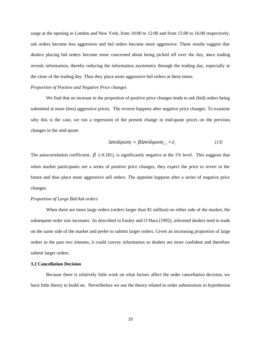surge at the opening in London and New York, from 10:00 to 12:00 and from 15:00 to 16:00 respectively, ask orders become less aggressive and bid orders become more aggressive. These results suggest that dealers placing bid orders become more concerned about being picked off over the day, since trading reveals information, thereby reducing the information asymmetry through the trading day, especially at the close of the trading day. Thus they place more aggressive bid orders at these times.

#### *Proportion of Positive and Negative Price changes*

We find that an increase in the proportion of positive price changes leads to ask (bid) orders being submitted at more (less) aggressive prices. The reverse happens after negative price changes. To examine why this is the case, we run a regression of the present change in mid-quote prices on the previous changes in the mid-quote:

$$
\Delta midquote_i = \beta \Delta midquote_{i-1} + \varepsilon_i \tag{13}
$$

The autocorrelation coefficient,  $\beta$  (-0.181), is significantly negative at the 1% level. This suggests that when market participants see a series of positive price changes, they expect the price to revert in the future and thus place more aggressive sell orders. The opposite happens after a series of negative price changes.

#### *Proportion of Large Bid/Ask orders*

When there are more large orders (orders larger than \$1 million) on either side of the market, the subsequent order size increases. As described in Easley and O'Hara (1992), informed dealers tend to trade on the same side of the market and prefer to submit larger orders. Given an increasing proportion of large orders in the past two minutes, it could convey information so dealers are more confident and therefore submit larger orders.

#### **3.2 Cancellation Decision**

Because there is relatively little work on what factors affect the order cancellation decision, we have little theory to build on. Nevertheless we use the theory related to order submissions to hypothesize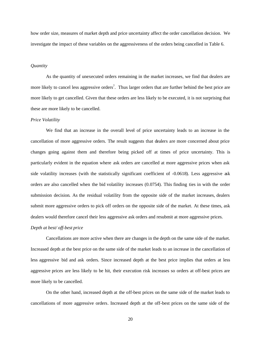how order size, measures of market depth and price uncertainty affect the order cancellation decision. We investigate the impact of these variables on the aggressiveness of the orders being cancelled in Table 6.

#### *Quantity*

As the quantity of unexecuted orders remaining in the market increases, we find that dealers are more likely to cancel less aggressive orders<sup>7</sup>. Thus larger orders that are further behind the best price are more likely to get cancelled. Given that these orders are less likely to be executed, it is not surprising that these are more likely to be cancelled.

#### *Price Volatility*

We find that an increase in the overall level of price uncertainty leads to an increase in the cancellation of more aggressive orders. The result suggests that dealers are more concerned about price changes going against them and therefore being picked off at times of price uncertainty. This is particularly evident in the equation where ask orders are cancelled at more aggressive prices when ask side volatility increases (with the statistically significant coefficient of -0.0618). Less aggressive ask orders are also cancelled when the bid volatility increases (0.0754). This finding ties in with the order submission decision. As the residual volatility from the opposite side of the market increases, dealers submit more aggressive orders to pick off orders on the opposite side of the market. At these times, ask dealers would therefore cancel their less aggressive ask orders and resubmit at more aggressive prices.

#### *Depth at best/ off-best price*

Cancellations are more active when there are changes in the depth on the same side of the market. Increased depth at the best price on the same side of the market leads to an increase in the cancellation of less aggressive bid and ask orders. Since increased depth at the best price implies that orders at less aggressive prices are less likely to be hit, their execution risk increases so orders at off-best prices are more likely to be cancelled.

On the other hand, increased depth at the off-best prices on the same side of the market leads to cancellations of more aggressive orders. Increased depth at the off-best prices on the same side of the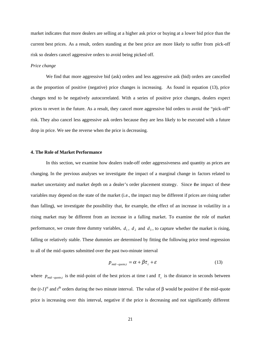market indicates that more dealers are selling at a higher ask price or buying at a lower bid price than the current best prices. As a result, orders standing at the best price are more likely to suffer from pick-off risk so dealers cancel aggressive orders to avoid being picked off.

#### *Price change*

We find that more aggressive bid (ask) orders and less aggressive ask (bid) orders are cancelled as the proportion of positive (negative) price changes is increasing. As found in equation (13), price changes tend to be negatively autocorrelated. With a series of positive price changes, dealers expect prices to revert in the future. As a result, they cancel more aggressive bid orders to avoid the "pick-off" risk. They also cancel less aggressive ask orders because they are less likely to be executed with a future drop in price. We see the reverse when the price is decreasing.

#### **4. The Role of Market Performance**

In this section, we examine how dealers trade-off order aggressiveness and quantity as prices are changing. In the previous analyses we investigate the impact of a marginal change in factors related to market uncertainty and market depth on a dealer's order placement strategy. Since the impact of these variables may depend on the state of the market (i.e., the impact may be different if prices are rising rather than falling), we investigate the possibility that, for example, the effect of an increase in volatility in a rising market may be different from an increase in a falling market. To examine the role of market performance, we create three dummy variables,  $d_1$ ,  $d_2$  and  $d_3$ , to capture whether the market is rising, falling or relatively stable. These dummies are determined by fitting the following price trend regression to all of the mid-quotes submitted over the past two-minute interval

$$
p_{mid-quote, t} = \alpha + \beta \tau_t + \varepsilon \tag{13}
$$

where  $p_{mid-quote}$  is the mid-point of the best prices at time t and  $\tau_t$  is the distance in seconds between the  $(t-1)$ <sup>st</sup> and  $t<sup>th</sup>$  orders during the two minute interval. The value of  $\beta$  would be positive if the mid-quote price is increasing over this interval, negative if the price is decreasing and not significantly different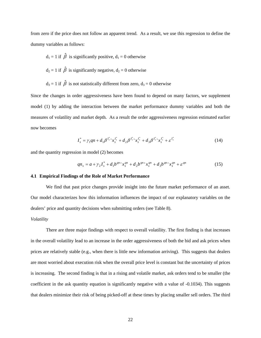from zero if the price does not follow an apparent trend. As a result, we use this regression to define the dummy variables as follows:

$$
d_1 = 1
$$
 if  $\hat{\beta}$  is significantly positive,  $d_1 = 0$  otherwise  
\n $d_2 = 1$  if  $\hat{\beta}$  is significantly negative,  $d_2 = 0$  otherwise  
\n $d_3 = 1$  if  $\hat{\beta}$  is not statistically different from zero,  $d_3 = 0$  otherwise

Since the changes in order aggressiveness have been found to depend on many factors, we supplement

model (1) by adding the interaction between the market performance dummy variables and both the measures of volatility and market depth. As a result the order aggressiveness regression estimated earlier now becomes

$$
I_s^* = \gamma_1 q n + d_1 \beta^{I_s^* \cdot} x_s^{I_s^*} + d_2 \beta^{I_s^* \cdot} x_s^{I_s^*} + d_3 \beta^{I_s^* \cdot} x_s^{I_s^*} + \varepsilon^{I_s^*} \tag{14}
$$

and the quantity regression in model (2) becomes

$$
qn_s = a + \gamma_2 I_s^* + d_1 b^{qn} x_s^{qn} + d_2 b^{qn} x_s^{qn} + d_3 b^{qn} x_s^{qn} + \varepsilon^{qn}
$$
\n(15)

#### **4.1 Empirical Findings of the Role of Market Performance**

We find that past price changes provide insight into the future market performance of an asset. Our model characterizes how this information influences the impact of our explanatory variables on the dealers' price and quantity decisions when submitting orders (see Table 8).

#### *Volatility*

There are three major findings with respect to overall volatility. The first finding is that increases in the overall volatility lead to an increase in the order aggressiveness of both the bid and ask prices when prices are relatively stable (e.g., when there is little new information arriving). This suggests that dealers are most worried about execution risk when the overall price level is constant but the uncertainty of prices is increasing. The second finding is that in a rising and volatile market, ask orders tend to be smaller (the coefficient in the ask quantity equation is significantly negative with a value of -0.1034). This suggests that dealers minimize their risk of being picked-off at these times by placing smaller sell orders. The third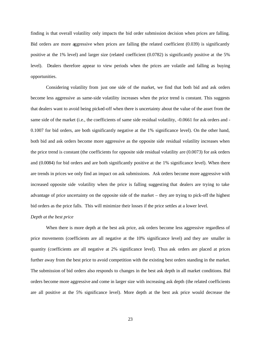finding is that overall volatility only impacts the bid order submission decision when prices are falling. Bid orders are more aggressive when prices are falling (the related coefficient (0.039) is significantly positive at the 1% level) and larger size (related coefficient (0.0782) is significantly positive at the 5% level). Dealers therefore appear to view periods when the prices are volatile and falling as buying opportunities.

Considering volatility from just one side of the market, we find that both bid and ask orders become less aggressive as same-side volatility increases when the price trend is constant. This suggests that dealers want to avoid being picked-off when there is uncertainty about the value of the asset from the same side of the market (i.e., the coefficients of same side residual volatility, -0.0661 for ask orders and -0.1007 for bid orders, are both significantly negative at the 1% significance level). On the other hand, both bid and ask orders become more aggressive as the opposite side residual volatility increases when the price trend is constant (the coefficients for opposite side residual volatility are (0.0073) for ask orders and (0.0084) for bid orders and are both significantly positive at the 1% significance level). When there are trends in prices we only find an impact on ask submissions. Ask orders become more aggressive with increased opposite side volatility when the price is falling suggesting that dealers are trying to take advantage of price uncertainty on the opposite side of the market – they are trying to pick-off the highest bid orders as the price falls. This will minimize their losses if the price settles at a lower level.

#### *Depth at the best price*

When there is more depth at the best ask price, ask orders become less aggressive regardless of price movements (coefficients are all negative at the 10% significance level) and they are smaller in quantity (coefficients are all negative at 2% significance level). Thus ask orders are placed at prices further away from the best price to avoid competition with the existing best orders standing in the market. The submission of bid orders also responds to changes in the best ask depth in all market conditions. Bid orders become more aggressive and come in larger size with increasing ask depth (the related coefficients are all positive at the 5% significance level). More depth at the best ask price would decrease the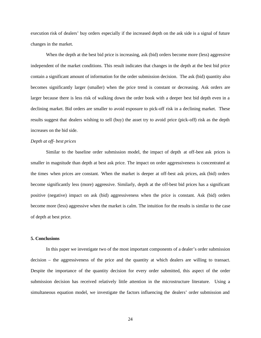execution risk of dealers' buy orders especially if the increased depth on the ask side is a signal of future changes in the market.

When the depth at the best bid price is increasing, ask (bid) orders become more (less) aggressive independent of the market conditions. This result indicates that changes in the depth at the best bid price contain a significant amount of information for the order submission decision. The ask (bid) quantity also becomes significantly larger (smaller) when the price trend is constant or decreasing. Ask orders are larger because there is less risk of walking down the order book with a deeper best bid depth even in a declining market. Bid orders are smaller to avoid exposure to pick-off risk in a declining market. These results suggest that dealers wishing to sell (buy) the asset try to avoid price (pick-off) risk as the depth increases on the bid side.

#### *Depth at off- best prices*

Similar to the baseline order submission model, the impact of depth at off-best ask prices is smaller in magnitude than depth at best ask price. The impact on order aggressiveness is concentrated at the times when prices are constant. When the market is deeper at off-best ask prices, ask (bid) orders become significantly less (more) aggressive. Similarly, depth at the off-best bid prices has a significant positive (negative) impact on ask (bid) aggressiveness when the price is constant. Ask (bid) orders become more (less) aggressive when the market is calm. The intuition for the results is similar to the case of depth at best price.

#### **5. Conclusions**

In this paper we investigate two of the most important components of a dealer's order submission decision – the aggressiveness of the price and the quantity at which dealers are willing to transact. Despite the importance of the quantity decision for every order submitted, this aspect of the order submission decision has received relatively little attention in the microstructure literature. Using a simultaneous equation model, we investigate the factors influencing the dealers' order submission and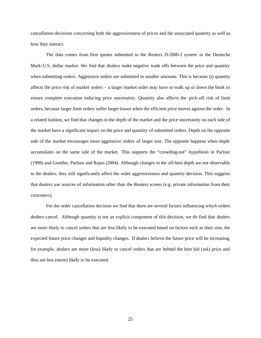cancellation decisions concerning both the aggressiveness of prices and the associated quantity as well as how they interact.

The data comes from firm quotes submitted to the Reuters D-2000-2 system in the Deutsche Mark-U.S. dollar market. We find that dealers make negative trade offs between the price and quantity when submitting orders. Aggressive orders are submitted in smaller amounts. This is because (i) quantity affects the price risk of market orders – a larger market order may have to walk up or down the book to ensure complete execution inducing price uncertainty. Quantity also affects the pick-off risk of limit orders, because larger limit orders suffer larger losses when the efficient price moves against the order. In a related fashion, we find that changes in the depth of the market and the price uncertainty on each side of the market have a significant impact on the price and quantity of submitted orders. Depth on the opposite side of the market encourages more aggressive orders of larger size. The opposite happens when depth accumulates on the same side of the market. This supports the "crowding-out" hypothesis in Parlour (1998) and Goettler, Parlour and Rajan (2004). Although changes in the off-best depth are not observable to the dealers, they still significantly affect the order aggressiveness and quantity decision. This suggests that dealers use sources of information other than the Reuters screen (e.g. private information from their customers).

For the order cancellation decision we find that there are several factors influencing which orders dealers cancel. Although quantity is not an explicit component of this decision, we do find that dealers are more likely to cancel orders that are less likely to be executed based on factors such as their size, the expected future price changes and liquidity changes. If dealers believe the future price will be increasing, for example, dealers are more (less) likely to cancel orders that are behind the best bid (ask) price and thus are less (more) likely to be executed.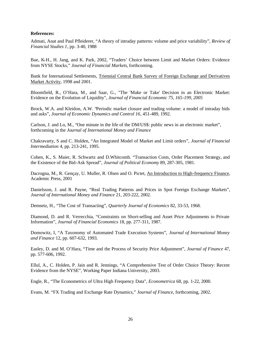#### **References:**

Admati, Anat and Paul Pfleiderer, "A theory of intraday patterns: volume and price variability", *Review of Financial Studies 1*, pp. 3-40, 1988

Bae, K-H., H. Jang, and K. Park, 2002, "Traders' Choice between Limit and Market Orders: Evidence from NYSE Stocks," *Journal of Financial Markets*, forthcoming.

Bank for International Settlements, Triennial Central Bank Survey of Foreign Exchange and Derivatives Market Activity, 1998 and 2001.

Bloomfield, R., O'Hara, M., and Saar, G., "The 'Make or Take' Decision in an Electronic Market: Evidence on the Evolution of Liquidity", *Journal of Financial Economic 75, 165-199, 2005*

Brock, W.A. and Kleidon, A.W. "Periodic market closure and trading volume: a model of intraday bids and asks", *Journal of Economic Dynamics and Control 16*, 451-489, 1992.

Carlson, J. and Lo, M., "One minute in the life of the DM/US\$: public news in an electronic market", forthcoming in the *Journal of International Money and Finance*

Chakravarty, S and C. Holden, "An Integrated Model of Market and Limit orders", *Journal of Financial Intermediation* 4, pp. 213-241, 1995.

Cohen, K., S. Maier, R. Schwartz and D.Whitcomb. "Transaction Costs, Order Placement Strategy, and the Existence of the Bid-Ask Spread", *Journal of Political Economy* 89, 287-305, 1981.

Dacrogna, M., R. Gençay, U. Muller, R. Olsen and O. Pictet, An Introduction to High-frequency Finance, Academic Press, 2001

Danielsson, J. and R. Payne, "Real Trading Patterns and Prices in Spot Foreign Exchange Markets", *Journal of International Money and Finance* 21, 203-222, 2002.

Demsetz, H., "The Cost of Transacting", *Quarterly Journal of Economics* 82, 33-53, 1968.

Diamond, D. and R. Verrecchia, "Constraints on Short-selling and Asset Price Adjustments to Private Information", *Journal of Financial Economics* 18, pp. 277-311, 1987.

Domowitz, I, "A Taxonomy of Automated Trade Execution Systems", *Journal of International Money and Finance* 12, pp. 607-632, 1993.

Easley, D. and M. O'Hara, "Time and the Process of Security Price Adjustment", *Journal of Finance* 47, pp. 577-606, 1992.

Ellul, A., C. Holden, P. Jain and R. Jennings, "A Comprehensive Test of Order Choice Theory: Recent Evidence from the NYSE", Working Paper Indiana University, 2003.

Engle, R., "The Econometrics of Ultra High Frequency Data", *Econometrica* 68, pp. 1-22, 2000.

Evans, M. "FX Trading and Exchange Rate Dynamics," *Journal of Finance*, forthcoming, 2002.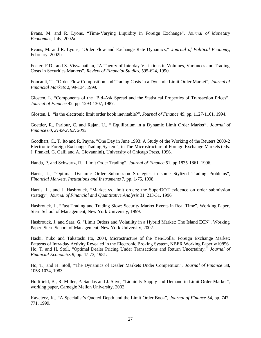Evans, M. and R. Lyons, "Time-Varying Liquidity in Foreign Exchange", *Journal of Monetary Economics*, July, 2002a.

Evans, M. and R. Lyons, "Order Flow and Exchange Rate Dynamics," *Journal of Political Economy*, February, 2002b.

Foster, F.D., and S. Viswanathan, "A Theory of Interday Variations in Volumes, Variances and Trading Costs in Securities Markets", *Review of Financial Studies*, 595-624, 1990.

Foucault, T., "Order Flow Composition and Trading Costs in a Dynamic Limit Order Market", *Journal of Financial Markets* 2, 99-134, 1999.

Glosten, L. "Components of the Bid-Ask Spread and the Statistical Properties of Transaction Prices", *Journal of Finance* 42, pp. 1293-1307, 1987.

Glosten, L. "is the electronic limit order book inevitable?", *Journal of Finance* 49, pp. 1127-1161, 1994.

Goettler, R., Parlour, C. and Rajan, U., " Equilibrium in a Dynamic Limit Order Market", *Journal of Finance 60, 2149-2192, 2005*

Goodhart, C., T. Ito and R. Payne, "One Day in June 1993: A Study of the Working of the Reuters 2000-2 Electronic Foreign Exchange Trading System", in The Microstructure of Foreign Exchange Markets (eds. J. Frankel, G. Galli and A. Giovannini), University of Chicago Press, 1996.

Handa, P. and Schwartz, R. "Limit Order Trading", *Journal of Finance* 51, pp.1835-1861, 1996.

Harris, L., "Optimal Dynamic Order Submission Strategies in some Stylized Trading Problems", *Financial Markets, Institutions and Instruments* 7, pp. 1-75, 1998.

Harris, L., and J. Hasbrouck, "Market vs. limit orders: the SuperDOT evidence on order submission strategy", *Journal of Financial and Quantitative Analysis* 31, 213-31, 1996

Hasbrouck, J., "Fast Trading and Trading Slow: Security Market Events in Real Time", Working Paper, Stern School of Management, New York University, 1999.

Hasbrouck, J. and Saar, G. "Limit Orders and Volatility in a Hybrid Market: The Island ECN", Working Paper, Stern School of Management, New York University, 2002.

Hashi, Yuko and Takatoshi Ito, 2004, Microstructure of the Yen/Dollar Foreign Exchange Market: Patterns of Intra-day Activity Revealed in the Electronic Broking System, NBER Working Paper w10856 Ho, T. and H. Stoll, "Optimal Dealer Pricing Under Transactions and Return Uncertainty," *Journal of Financial Economics* 9, pp. 47-73, 1981.

Ho, T., and H. Stoll, "The Dynamics of Dealer Markets Under Competition", *Journal of Finance* 38, 1053-1074, 1983.

Hollifield, B., R. Miller, P. Sandas and J. Slive, "Liquidity Supply and Demand in Limit Order Market", working paper, Carnegie Mellon University, 2002

Kavejecz, K., "A Specialist's Quoted Depth and the Limit Order Book", *Journal of Finance* 54, pp. 747- 771, 1999.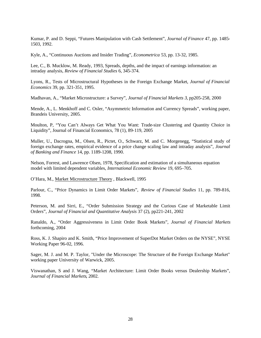Kumar, P. and D. Seppi, "Futures Manipulation with Cash Settlement", *Journal of Finance* 47, pp. 1485- 1503, 1992.

Kyle, A., "Continuous Auctions and Insider Trading", *Econometrica* 53, pp. 13-32, 1985.

Lee, C., B. Mucklow, M. Ready, 1993, Spreads, depths, and the impact of earnings information: an intraday analysis, *Review of Financial Studies* 6, 345-374.

Lyons, R., Tests of Microstructural Hypotheses in the Foreign Exchange Market, *Journal of Financial Economics* 39, pp. 321-351, 1995.

Madhavan, A., "Market Microstructure: a Survey", *Journal of Financial Markets 3*, pp205-258, 2000

Mende, A., L. Menkhoff and C. Osler, "Asymmetric Information and Currency Spreads", working paper, Brandeis University, 2005.

Moulton, P, "You Can't Always Get What You Want: Trade-size Clustering and Quantity Choice in Liquidity", Journal of Financial Economics, 78 (1), 89-119, 2005

Muller, U., Dacrogna, M., Olsen, R., Pictet, O., Schwarz, M. and C. Morgenegg, "Statistical study of foreign exchange rates, empirical evidence of a price change scaling law and intraday analysis", *Journal of Banking and Finance* 14, pp. 1189-1208, 1990.

Nelson, Forrest, and Lawrence Olsen, 1978, Specification and estimation of a simultaneous equation model with limited dependent variables, *International Economic Review* 19, 695–705.

O'Hara, M., Market Microstructure Theory , Blackwell, 1995

Parlour, C., "Price Dynamics in Limit Order Markets", *Review of Financial Studies* 11, pp. 789-816, 1998.

Peterson, M. and Sirri, E., "Order Submission Strategy and the Curious Case of Marketable Limit Orders", *Journal of Financial and Quantitative Analysis* 37 (2), pp221-241, 2002

Ranaldo, A., "Order Aggressiveness in Limit Order Book Markets", *Journal of Financial Markets* forthcoming, 2004

Ross, K. J. Shapiro and K. Smith, "Price Improvement of SuperDot Market Orders on the NYSE", NYSE Working Paper 96-02, 1996.

Sager, M. J. and M. P. Taylor, "Under the Microscope: The Structure of the Foreign Exchange Market" working paper University of Warwick, 2005.

Viswanathan, S and J. Wang, "Market Architecture: Limit Order Books versus Dealership Markets", *Journal of Financial Markets*, 2002.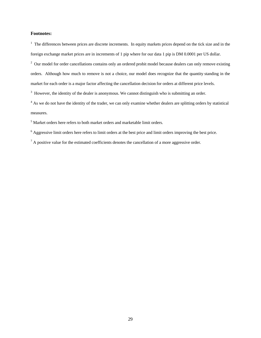#### **Footnotes:**

 $<sup>1</sup>$  The differences between prices are discrete increments. In equity markets prices depend on the tick size and in the</sup> foreign exchange market prices are in increments of 1 pip where for our data 1 pip is DM 0.0001 per US dollar.

 $2$  Our model for order cancellations contains only an ordered probit model because dealers can only remove existing orders. Although how much to remove is not a choice, our model does recognize that the quantity standing in the market for each order is a major factor affecting the cancellation decision for orders at different price levels.

 $3$  However, the identity of the dealer is anonymous. We cannot distinguish who is submitting an order.

<sup>4</sup> As we do not have the identity of the trader, we can only examine whether dealers are splitting orders by statistical measures.

<sup>5</sup> Market orders here refers to both market orders and marketable limit orders.

<sup>6</sup> Aggressive limit orders here refers to limit orders at the best price and limit orders improving the best price.

 $<sup>7</sup>$  A positive value for the estimated coefficients denotes the cancellation of a more aggressive order.</sup>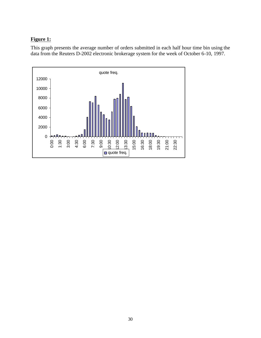## **Figure 1:**

This graph presents the average number of orders submitted in each half hour time bin using the data from the Reuters D-2002 electronic brokerage system for the week of October 6-10, 1997.

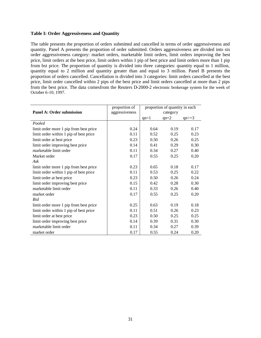#### **Table I: Order Aggressiveness and Quantity**

The table presents the proportion of orders submitted and cancelled in terms of order aggressiveness and quantity. Panel A presents the proportion of order submitted. Orders aggressiveness are divided into six order aggressiveness category: market orders, marketable limit orders, limit orders improving the best price, limit orders at the best price, limit orders within 1 pip of best price and limit orders more than 1 pip from bst price. The proportion of quantity is divided into three categories: quantity equal to 1 million, quantity equal to 2 million and quantity greater than and equal to 3 million. Panel B presents the proportion of orders cancelled. Cancellation is divided into 3 categories: limit orders cancelled at the best price, limit order cancelled within 2 pips of the best price and limit orders cancelled at more than 2 pips from the best price. The data comesfrom the Reuters D-2000-2 electronic brokerage system for the week of October 6-10, 1997.

|                                        | proportion of  |        | proportion of quantity in each |         |
|----------------------------------------|----------------|--------|--------------------------------|---------|
| Panel A: Order submission              | aggressiveness |        | category                       |         |
|                                        |                | $qn=1$ | $qn=2$                         | $qn>=3$ |
| Pooled                                 |                |        |                                |         |
| limit order more 1 pip from best price | 0.24           | 0.64   | 0.19                           | 0.17    |
| limit order within 1 pip of best price | 0.11           | 0.52   | 0.25                           | 0.23    |
| limit order at best price              | 0.23           | 0.50   | 0.26                           | 0.25    |
| limit order improving best price       | 0.14           | 0.41   | 0.29                           | 0.30    |
| marketable limit order                 | 0.11           | 0.34   | 0.27                           | 0.40    |
| Market order                           | 0.17           | 0.55   | 0.25                           | 0.20    |
| Ask                                    |                |        |                                |         |
| limit order more 1 pip from best price | 0.23           | 0.65   | 0.18                           | 0.17    |
| limit order within 1 pip of best price | 0.11           | 0.53   | 0.25                           | 0.22    |
| limit order at best price              | 0.23           | 0.50   | 0.26                           | 0.24    |
| limit order improving best price       | 0.15           | 0.42   | 0.28                           | 0.30    |
| marketable limit order                 | 0.11           | 0.33   | 0.26                           | 0.40    |
| market order                           | 0.17           | 0.55   | 0.25                           | 0.20    |
| <b>Bid</b>                             |                |        |                                |         |
| limit order more 1 pip from best price | 0.25           | 0.63   | 0.19                           | 0.18    |
| limit order within 1 pip of best price | 0.11           | 0.51   | 0.26                           | 0.23    |
| limit order at best price              | 0.23           | 0.50   | 0.25                           | 0.25    |
| limit order improving best price       | 0.14           | 0.39   | 0.31                           | 0.30    |
| marketable limit order                 | 0.11           | 0.34   | 0.27                           | 0.39    |
| market order                           | 0.17           | 0.55   | 0.24                           | 0.20    |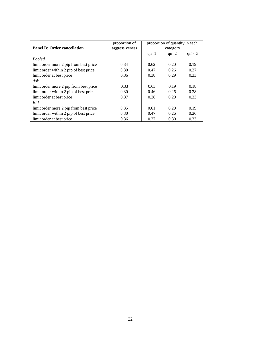|                                        | proportion of  |        | proportion of quantity in each |         |
|----------------------------------------|----------------|--------|--------------------------------|---------|
| <b>Panel B: Order cancellation</b>     | aggressiveness |        | category                       |         |
|                                        |                | $qn=1$ | $qn=2$                         | $qn>=3$ |
| Pooled                                 |                |        |                                |         |
| limit order more 2 pip from best price | 0.34           | 0.62   | 0.20                           | 0.19    |
| limit order within 2 pip of best price | 0.30           | 0.47   | 0.26                           | 0.27    |
| limit order at best price              | 0.36           | 0.38   | 0.29                           | 0.33    |
| Ask                                    |                |        |                                |         |
| limit order more 2 pip from best price | 0.33           | 0.63   | 0.19                           | 0.18    |
| limit order within 2 pip of best price | 0.30           | 0.46   | 0.26                           | 0.28    |
| limit order at best price              | 0.37           | 0.38   | 0.29                           | 0.33    |
| <b>Bid</b>                             |                |        |                                |         |
| limit order more 2 pip from best price | 0.35           | 0.61   | 0.20                           | 0.19    |
| limit order within 2 pip of best price | 0.30           | 0.47   | 0.26                           | 0.26    |
| limit order at best price.             | 0.36           | 0.37   | 0.30                           | 0.33    |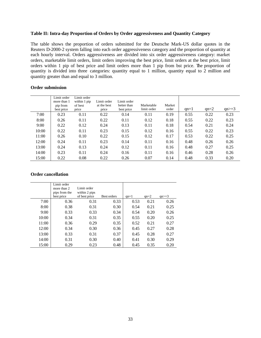#### **Table II: Intra-day Proportion of Orders by Order aggressiveness and Quantity Category**

The table shows the proportion of orders submitted for the Deutsche Mark-US dollar quotes in the Reuters D-2000-2 system falling into each order aggressiveness category and the proportion of quantity at each hourly interval. Orders aggressiveness are divided into six order aggressiveness category: market orders, marketable limit orders, limit orders improving the best price, limit orders at the best price, limit orders within 1 pip of best price and limit orders more than 1 pip from bst price. The proportion of quantity is divided into three categories: quantity equal to 1 million, quantity equal to 2 million and quantity greater than and equal to 3 million.

#### **Order submission**

|       | Limit order<br>more than 1<br>pip from<br>best price | Limit order<br>within 1 pip<br>of best<br>price | Limit order<br>at the best<br>price | Limit order<br>better than<br>best price | Marketable<br>limit order | Market<br>order | $qn=1$ | $qn=2$ | $qn>=3$ |
|-------|------------------------------------------------------|-------------------------------------------------|-------------------------------------|------------------------------------------|---------------------------|-----------------|--------|--------|---------|
| 7:00  | 0.23                                                 | 0.11                                            | 0.22                                | 0.14                                     | 0.11                      | 0.19            | 0.55   | 0.22   | 0.23    |
| 8:00  | 0.26                                                 | 0.11                                            | 0.22                                | 0.11                                     | 0.12                      | 0.18            | 0.55   | 0.22   | 0.23    |
| 9:00  | 0.22                                                 | 0.12                                            | 0.24                                | 0.13                                     | 0.11                      | 0.18            | 0.54   | 0.21   | 0.24    |
| 10:00 | 0.22                                                 | 0.11                                            | 0.23                                | 0.15                                     | 0.12                      | 0.16            | 0.55   | 0.22   | 0.23    |
| 11:00 | 0.26                                                 | 0.10                                            | 0.22                                | 0.15                                     | 0.12                      | 0.17            | 0.53   | 0.22   | 0.25    |
| 12:00 | 0.24                                                 | 0.11                                            | 0.23                                | 0.14                                     | 0.11                      | 0.16            | 0.48   | 0.26   | 0.26    |
| 13:00 | 0.24                                                 | 0.13                                            | 0.24                                | 0.12                                     | 0.11                      | 0.16            | 0.48   | 0.27   | 0.25    |
| 14:00 | 0.23                                                 | 0.11                                            | 0.24                                | 0.16                                     | 0.11                      | 0.16            | 0.46   | 0.28   | 0.26    |
| 15:00 | 0.22                                                 | 0.08                                            | 0.22                                | 0.26                                     | 0.07                      | 0.14            | 0.48   | 0.33   | 0.20    |

#### **Order cancellation**

|       | Limit order                 |                                |             |        |        |         |
|-------|-----------------------------|--------------------------------|-------------|--------|--------|---------|
|       | more than 2                 | Limit order                    |             |        |        |         |
|       | pips from the<br>best price | within 2 pips<br>of best price | Best orders | $qn=1$ | $qn=2$ | $qn>=3$ |
| 7:00  | 0.36                        | 0.31                           | 0.33        | 0.53   | 0.21   | 0.26    |
| 8:00  | 0.38                        | 0.31                           | 0.30        | 0.54   | 0.21   | 0.25    |
| 9:00  | 0.33                        | 0.33                           | 0.34        | 0.54   | 0.20   | 0.26    |
| 10:00 | 0.34                        | 0.31                           | 0.35        | 0.55   | 0.20   | 0.25    |
| 11:00 | 0.36                        | 0.29                           | 0.35        | 0.52   | 0.21   | 0.27    |
| 12:00 | 0.34                        | 0.30                           | 0.36        | 0.45   | 0.27   | 0.28    |
| 13:00 | 0.33                        | 0.31                           | 0.37        | 0.45   | 0.28   | 0.27    |
| 14:00 | 0.31                        | 0.30                           | 0.40        | 0.41   | 0.30   | 0.29    |
| 15:00 | 0.29                        | 0.23                           | 0.48        | 0.45   | 0.35   | 0.20    |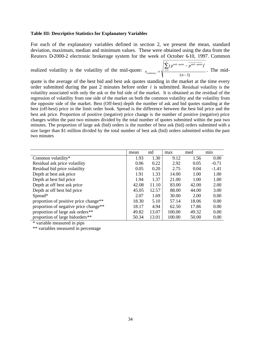#### **Table III: Descriptive Statistics for Explanatory Variables**

For each of the explanatory variables defined in section 2, we present the mean, standard deviation, maximum, median and minimum values. These were obtained using the data from the Reuters D-2000-2 electronic brokerage system for the week of October 6-10, 1997. Common

realized volatility is the volatility of the mid-quote:  $(n-1)$  $(p^{mid-quote} - p^{mid-quote})$ 1 2  $(n-1)$   $(n-1)$ −  $= \sqrt{\frac{\sum_{j=1}^{p} (p^{mid-quote} - p^{mid-1})}{\sum_{j=1}^{p} (p^{mid-1} - p^{mid-1})}}$ *n*  $p^{mid-quote}-p$ *v n j mid quote mid quote*  $r_{common,i} = \sqrt{\frac{j-1}{j-1}}$  . The mid-

quote is the average of the best bid and best ask quotes standing in the market at the time every order submitted during the past 2 minutes before order *i* is submitted. Residual volatility is the volatility associated with only the ask or the bid side of the market. It is obtained as the residual of the regression of volatility from one side of the market on both the common volatility and the volatility from the opposite side of the market. Best (Off-best) depth the number of ask and bid quotes standing at the best (off-best) price in the limit order book. Spread is the difference between the best bid price and the best ask price. Proportion of positive (negative) price change is the number of positive (negative) price changes within the past two minutes divided by the total number of quotes submitted within the past two minutes. The proportion of large ask (bid) orders is the number of best ask (bid) orders submitted with a size larger than \$1 million divided by the total number of best ask (bid) orders submitted within the past two minutes

|                                                   | mean  | std   | max    | med   | min     |
|---------------------------------------------------|-------|-------|--------|-------|---------|
| Common volatility*                                | 1.93  | 1.30  | 9.12   | 1.56  | 0.00    |
| Residual ask price volatility                     | 0.06  | 0.22  | 2.92   | 0.05  | $-0.71$ |
| Residual bid price volatility                     | 0.05  | 0.20  | 2.75   | 0.04  | $-1.41$ |
| Depth at best ask price                           | 1.91  | 1.33  | 14.00  | 1.00  | 1.00    |
| Depth at best bid price                           | 1.94  | 1.37  | 21.00  | 1.00  | 1.00    |
| Depth at off best ask price                       | 42.08 | 11.10 | 83.00  | 42.00 | 2.00    |
| Depth at off best bid price                       | 45.05 | 12.57 | 88.00  | 44.00 | 3.00    |
| Spread*                                           | 2.07  | 1.69  | 30.00  | 2.00  | 0.00    |
| proportion of positive price change <sup>**</sup> | 18.30 | 5.10  | 57.14  | 18.06 | 0.00    |
| proportion of negative price change**             | 18.17 | 4.94  | 62.50  | 17.86 | 0.00    |
| proportion of large ask orders**                  | 49.82 | 13.07 | 100.00 | 49.32 | 0.00    |
| proportion of large bidorders**                   | 50.34 | 13.01 | 100.00 | 50.00 | 0.00    |

\* variable measured in pips

\*\* variables measured in percentage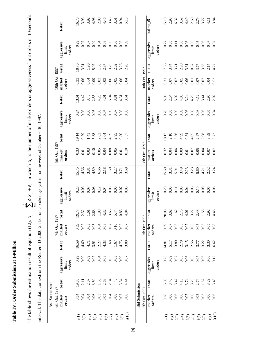Table IV: Order Submission at 1-Million **Table IV: Order Submission at 1-Million**

The table shows the estimation result of equation (12),  $x_i = \sum$ ll. +  $\mathsf{II}^-$ ≅W∃ *t i t*  $\mathbf{z}^{\prime}$   $\mathbf{y}^{\prime}$   $\mathbf{z}^{\prime}$  $x = \sum_i \rho_i x_i + \varepsilon_i$  in which  $x_i$  is the number of market orders or aggressiveness limit orders in 10-seconds

| I                                     |
|---------------------------------------|
|                                       |
|                                       |
|                                       |
|                                       |
|                                       |
|                                       |
|                                       |
|                                       |
|                                       |
|                                       |
|                                       |
|                                       |
|                                       |
|                                       |
|                                       |
|                                       |
|                                       |
|                                       |
| $\ddot{\phantom{a}}$                  |
|                                       |
|                                       |
|                                       |
|                                       |
|                                       |
|                                       |
|                                       |
|                                       |
| I                                     |
| j                                     |
|                                       |
| ۱                                     |
|                                       |
| I                                     |
| <br> <br> <br>ļ                       |
|                                       |
| ׇ֚֘֝֡                                 |
|                                       |
|                                       |
| ׇ֚֘                                   |
|                                       |
|                                       |
| $\begin{array}{c} \hline \end{array}$ |
|                                       |
| ١                                     |
|                                       |
|                                       |
|                                       |
|                                       |
| į                                     |
|                                       |
|                                       |
| ;<br>;                                |
|                                       |
| :<br>$\frac{1}{2}$                    |
|                                       |
| me                                    |

|                           | Ask Submission        |                   |                               |                  |                  |             |                               |        |                              |                  |                               |                |                                         |        |                               |                            |
|---------------------------|-----------------------|-------------------|-------------------------------|------------------|------------------|-------------|-------------------------------|--------|------------------------------|------------------|-------------------------------|----------------|-----------------------------------------|--------|-------------------------------|----------------------------|
|                           | 6th Oct, 1997         |                   |                               |                  | 7th Oct, 1997    |             |                               |        | 8th Oct, 1997                |                  |                               |                | 10th Oct, 1997                          |        |                               |                            |
|                           | market<br>orders      | t-stat            | aggressive<br>orders<br>limit | t-stat           | market<br>orders | t-stat      | aggressive<br>orders<br>limit | t-stat | market<br>orders             | t-stat           | aggressive<br>orders<br>limit | t-stat         | market<br>orders                        | t-stat | aggressive<br>orders<br>limit | t-stat                     |
|                           | 5.5                   | 19.35             | 629                           | 16.59            | 0.35             | 19.77       | 0.28                          | 15.75  | 0.33                         | 19.14            | 0.24                          | 13.61          | 0.33                                    | 18.76  | 0.29                          | 16.70                      |
|                           | 6.0                   | $\overline{2.11}$ | 0.09                          | 4.69             | 0.05             | 2.52        | 0.08                          | 4.56   | 0.01                         | 0.59             | 0.08                          | 4.47           | 0.06                                    | 3.51   | 0.07                          |                            |
|                           |                       | 2.07              |                               | 4.71             | 0.03             | 1.61        | 0.07                          | 3.81   |                              | 1.41             | 0.05                          |                |                                         | 1.96   |                               |                            |
|                           | ड ७<br>इ.             | 3.50              | 0.09                          | 3.91             |                  | 2.63        | 0.08                          | 4.59   | 0.03<br>0.05<br>0.06<br>0.06 | 5.38             |                               | $3.45$<br>2.55 | $0.038$<br>$0.038$<br>$0.058$<br>$0.05$ | 5.07   | 5.8<br>0.9<br>0.0             |                            |
|                           |                       |                   | 0.04                          | 2.27             | 6.04             | 1.98        | 0.12                          | 6.66   |                              |                  | 0.08                          | 4.25           |                                         | 1.68   |                               |                            |
|                           | 0.05                  | $1.68$ $2.68$     | 0.08                          | 4.33             | 0.08             | 4.32        | 0.04                          | 2.18   |                              | $2.82$<br>$2.04$ | 0.07                          | 4.01           |                                         | 2.87   | 0.08                          |                            |
|                           | 6.04                  | 2.04              | 0.03                          | 1.68             | 0.07             | 3.66        | 0.03                          | 1.50   |                              | 4.59             |                               | 5.04           |                                         | 3.26   | 0.06                          |                            |
|                           | 0.08                  | 4.45              | 0.03                          | 1.67             | 0.10             | 5.44        | 0.06                          | 3.27   |                              | 2.95             | 0.07                          | 3.81           |                                         | 2.62   | 0.06                          | 3.51                       |
|                           | 0.07                  | 3.84              | 0.09                          | 4.73             | 0.02             | 0.85        | 0.07                          | 3.71   | 0.01                         | 0.80             | 0.08                          | 4.31           | 0.06                                    | 3.26   | 0.02                          | 0.94                       |
| 2(10)                     | 0.08                  | 4.4<br>4          | 0.07                          | 3.80             | 0.07             | $rac{4}{3}$ | 0.06                          | 3.69   | 0.10                         | 5.57             | 0.06                          | 3.61           | 0.04                                    | 2.20   | 0.09                          | 5.15                       |
|                           |                       |                   |                               |                  |                  |             |                               |        |                              |                  |                               |                |                                         |        |                               |                            |
|                           | <b>Bid Submission</b> |                   |                               |                  |                  |             |                               |        |                              |                  |                               |                |                                         |        |                               |                            |
|                           | 5th Oct, 1997         |                   |                               |                  | 7th Oct, 1997    |             |                               |        | 8th Oct, 1997                |                  |                               |                | 10th Oct, 1997                          |        |                               |                            |
|                           | market<br>orders      | t-stat            | aggressive<br>limit           | t-stat           | market<br>orders | t-stat      | aggressive<br>limit           | t-stat | market<br>orders             | t-stat           | aggressive<br>limit           | t-stat         | market<br>orders                        | t-stat | aggressive<br>limit           | bstlmt t5                  |
|                           |                       |                   | orders                        |                  |                  |             | orders                        |        |                              |                  | orders                        |                |                                         |        | orders                        |                            |
|                           | 0.28                  | 15.80             | 0.26                          | 14.81            | 0.35             | 20.03       | 0.28                          | 15.69  |                              | 18.17            | 0.28                          | 15.96          | $0.\overline{3}$                        | 17.66  | 0.27                          | 5.10                       |
|                           | 0.06                  | 3.40              | 0.09                          |                  | 0.07             | 3.62        | 0.06                          | 3.31   |                              | 2.10<br>3.36     | 0.05                          | 2.54           |                                         | 3.74   | 0.05                          | 2.93                       |
|                           | 0.06                  | 3.47              | 0.07                          | 5.17<br>3.80     | 0.03             | 1.62        | 0.11                          | 5.91   |                              |                  | 0.09                          | 5.02           |                                         | 3.71   | $\overline{0}$ .              | 6.32                       |
|                           |                       | 4.15              | 0.05                          | 2.70             | 0.05             | 2.76        | 0.06                          | 3.49   |                              | 4.99             | 0.09                          | 4.88           |                                         | 2.98   | 0.08<br>0.08                  | $3.52$<br>$4.49$<br>$2.50$ |
|                           | 0.07                  | 3.74              | $0.06$<br>$0.05$              | $3.15$<br>$2.56$ | $0.07$<br>0.06   | 4.01        | 0.04                          | 2.23   |                              | 0.34             | 0.06                          | 3.24<br>4.23   |                                         | 3.31   |                               |                            |
|                           |                       | 3.25              |                               |                  |                  | 3.27        | 0.06                          | 3.23   |                              | 4.05             | 0.08                          |                | 0.07<br>0.05<br>0.06<br>0.07            | 0.57   |                               |                            |
|                           | 0.05                  | 2.74              | 0.07                          | 3.77             | 0.05             | 2.43        | 0.10                          | 5.60   |                              | 2.97             | 0.08                          | 4.12           |                                         | 3.77   | 0.05                          | 2.79<br>3.27               |
| $\dot{5}$                 | 0.03                  | 1.57              | 0.06                          | 3.22             | 0.03             | 1.55        | 0.08                          | 4.21   | 0.04                         | 2.08             | 0.06                          | 3.41           |                                         | 3.65   | 0.06                          |                            |
| $\widetilde{\mathcal{E}}$ | 0.06                  | 3.29              | 0.06                          | 3.30             | 0.05             | 2.92        | 0.05                          | 2.52   | 0.07                         | 3.89             | 0.05                          | 2.96           | 0.04                                    | 2.14   | 0.07                          | 4.11                       |
| (01)                      | 0.06                  | 3.48              | 0.12                          | 6.62             | 0.08             | 4.46        | 0.06                          | 3.24   | 0.07                         | 3.77             | 6.04                          | 2.02           | 0.07                                    | 4.27   | 0.07                          | 3.84                       |
|                           |                       |                   |                               |                  |                  |             |                               |        |                              |                  |                               |                |                                         |        |                               |                            |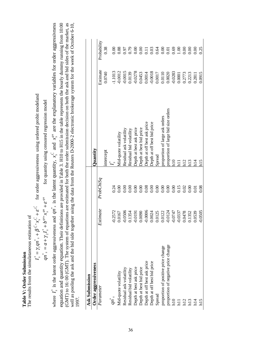Table V: Order Submission **Table V: Order Submission**

The results from the simulataneous estimation of The results from the simulataneous estimation of

\* *s*

$$
I_s^* = \gamma_1 q n^* + \beta^{t_s^*} \cdot x_s^{t_s^*} + \varepsilon^{t_s^*}
$$
 for order aggregates versus using ordered probit modeland  $qn^* = a + \gamma_2 I_s^* + b^{qn} \cdot x_s^{qn} + \varepsilon^{qn}$  for quantity using censored regression model

 $I_s^*$  is the latent order aggressiveness and  $qn^*$ , is the latent quantity,  $x_s^{f^*}$  and  $x_s^{qn}$  are the explanatory variables for order aggressivness equation and quantity equation. Their definitions are provided in Table 3. H10 to H15 in the table represents the hourly dummy ruming from 10:00 equation and quantity equation. Their definitions are provided in Table 3. H10 to H15 in the table represents the hourly dummy running from 10:00 (GMT) to 16: 00 (GMT). The system of equations are estimated for both the order submission decision on both the ask and bid sides of the market, as (GMT) to 16: 00 (GMT). The system of equations are estimated for both the order submission decision on both the ask and bid sides of the market, as well as pooling the ask and the bid side together using the data from the Reuters D-2000-2 electronic brokerage system for the week of October 6-10, well as pooling the ask and the bid side together using the data from the Reuters D-2000-2 electronic brokerage system for the week of October 6-10, where  $I_s^*$ 1997.

| <b>Ask Submission</b>               |                                                                                      |                              |                                     |                                                                              |                      |
|-------------------------------------|--------------------------------------------------------------------------------------|------------------------------|-------------------------------------|------------------------------------------------------------------------------|----------------------|
| Order aggressiveness                |                                                                                      |                              | Ouantity                            |                                                                              |                      |
| Parameter                           | Estimate                                                                             | ProbChiSq                    |                                     | Estimate                                                                     | Probability          |
|                                     |                                                                                      |                              | ntercept                            | 0.0740                                                                       | 0.38                 |
| $qn_s^*$                            | $-0.2572$                                                                            |                              |                                     | 1.1013                                                                       |                      |
| Mid-quote volatility                | 0.0167                                                                               | 0.24                         | Mid-quote volatility                | 0.0012                                                                       | 0.00<br>0.88<br>0.79 |
| Residual ask volatility             |                                                                                      |                              | Residual ask volatility             | 0.0015                                                                       |                      |
| Residual bid volatility             | 0.0506<br>0.1354                                                                     |                              | Residual bid volatility             | 0.0139                                                                       |                      |
| Depth at best ask price             | $-0.0191$                                                                            |                              | Depth at best ask price             | $-0.0278$                                                                    | 0.00                 |
| Depth at best bid price             | 0.0090                                                                               | 0.00                         | Depth at best bid price             | 0.0453                                                                       | 0.00                 |
| Depth at off best ask price         |                                                                                      |                              | Depth at off best ask price         | 0.0014                                                                       | 0.11                 |
| Depth at off best bid price         |                                                                                      |                              | Depth at off best bid price         |                                                                              |                      |
| Spread                              | $-0.0006$<br>$0.0024$<br>$0.0125$<br>$0.0122$<br>$-0.0124$<br>$-0.0747$<br>$-0.0337$ | $0.08$<br>$0.000$<br>$0.000$ | Spread                              | $\begin{array}{c} 0.0018 \\ 0.0017 \\ 0.0110 \\ 0.010 \\ 0.0020 \end{array}$ | $0.03$<br>0.64       |
| proportion of positive price change |                                                                                      |                              | proportion of large ask orders      |                                                                              |                      |
| proportion of negative price change |                                                                                      |                              | proportion of large bid size orders |                                                                              |                      |
| h10                                 |                                                                                      |                              | $\frac{10}{2}$                      | $-0.0283$                                                                    | $0.69$<br>1.00       |
| $\overline{11}$                     |                                                                                      |                              | $\overline{11}$                     | 0.0001                                                                       |                      |
| h12                                 |                                                                                      |                              | h12                                 | 0.2773                                                                       | 0.00                 |
| $h13$<br>$h14$                      | 0.0478<br>0.1352                                                                     |                              | h13                                 | 0.2213                                                                       | 0.00                 |
|                                     | 0.0539                                                                               | 0.01                         | $\overline{14}$                     | 0.2811                                                                       | 0.00                 |
| h15                                 | 0.0505                                                                               | 0.08                         | h15                                 | 0.0915                                                                       | 0.25                 |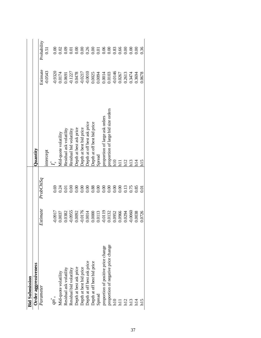| <b>Bid Submission</b>               |                                                                        |                       |                                     |                                                                     |             |
|-------------------------------------|------------------------------------------------------------------------|-----------------------|-------------------------------------|---------------------------------------------------------------------|-------------|
| Order aggressiveness                |                                                                        |                       | Quantity                            |                                                                     |             |
| Parameter                           | <b>Estimate</b>                                                        | $ProbChi\mathcal{S}q$ |                                     | Estimate                                                            | Probability |
|                                     |                                                                        |                       | ntercept                            | $-0.0543$                                                           | 0.51        |
| $qn_s^*$                            | 0.0917                                                                 | 0.69                  |                                     | 0.9320                                                              | 0.00        |
| Mid-quote volatility                | 0.0037                                                                 | 24                    | Mid-quote volatility                | 0.174                                                               |             |
| Residual ask volatility             | 0.0382                                                                 | 0.01                  | Residual ask volatility             |                                                                     |             |
| Residual bid volatility             | $-0.0955$                                                              | 0.00                  | Residual bid volatility             |                                                                     |             |
| Depth at best ask price             | 0.0092                                                                 | 0.00                  | Depth at best ask price             | 0.0691<br>0.1227<br>0.0478                                          |             |
| Depth at best bid price             |                                                                        |                       | Depth at best bid price             |                                                                     |             |
| Depth at off best ask price         | $-0.0176$<br>$0.0014$<br>$0.0000$<br>$0.0113$<br>$-0.0119$<br>$0.0132$ | 8888888               | Depth at off best ask price         | $-0.0217$<br>$0.0010$                                               |             |
| Depth at off best bid price         |                                                                        |                       | Depth at off best bid price         |                                                                     |             |
| Spread                              |                                                                        |                       | Spread                              | $\begin{array}{c} 0.0025 \\ 0.0094 \\ 0.0014 \\ 0.0103 \end{array}$ |             |
| proportion of positive price change |                                                                        |                       | proportion of large ask orders      |                                                                     |             |
| proportion of negative price change |                                                                        |                       | proportion of large bid size orders |                                                                     |             |
| h10                                 | 0.0952                                                                 | 0.0000                | $\overline{10}$                     | 0.0146                                                              |             |
| $\Xi$                               | 0.0966                                                                 |                       | $\Xi$                               | 0.0267                                                              |             |
| h12                                 | 0.0294                                                                 | 0.13                  | $\frac{12}{1}$                      | 0.2613                                                              |             |
| h13                                 | 0.0060                                                                 | 0.75                  | $\overline{13}$                     | 0.3474                                                              |             |
| $\frac{14}{1}$                      | 0.0038                                                                 | 0.85                  | $\overline{14}$                     | 0.3694                                                              |             |
| h15                                 | 0.0726                                                                 | $\overline{0.01}$     | h15                                 | 0.0678                                                              | 0.36        |
|                                     |                                                                        |                       |                                     |                                                                     |             |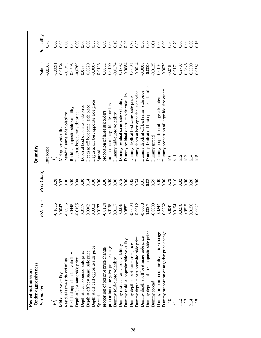| Pooled Submission                           |           |           |                                             |           |             |
|---------------------------------------------|-----------|-----------|---------------------------------------------|-----------|-------------|
| Order aggressiveness                        |           |           | Quantity                                    |           |             |
| Parameter                                   | Estimate  | ProbChiSq |                                             | Estimate  | Probability |
|                                             |           |           | intercept                                   | $-0.0168$ | 0.78        |
| qn <sub>s</sub>                             | $-0.1015$ | 0.28      |                                             | $-1.0091$ | 0.00        |
| Mid-quote volatility                        | 0.0047    | 0.07      | Mid-quote volatility                        | 0.0164    | 0.03        |
| Residual same side volatility               | $-0.0915$ | 0.00      | Residual same side volatility               | $-0.1353$ | 0.00        |
| Residual opposite side volatility           | 0.0445    | 0.00      | Residual opposite side volatility           | 0.0795    | 0.04        |
| Depth at best same side price               | $-0.0195$ | 0.00      | Depth at best same side price               | $-0.0269$ | 0.00        |
| Depth at best opposite side price           | 0.0117    | 0.00      | Depth at best opposite side price           | 0.0584    | 0.00        |
| Depth at off best same side price           | 0.0003    | 0.14      | Depth at off best same side price           | 0.0020    | 0.00        |
| Depth at off best opposite side price       | 0.0012    |           | Depth at off best opposite side price       | $-0.0007$ | 0.35        |
| Spread                                      | 0.0137    | 0.00      | Spread                                      | 0.0128    | 0.00        |
| proportion of positive price change         | $-0.0124$ | 0.00      | proportion of large ask orders              | 0.0011    | 0.09        |
| proportion of negative price change         | 0.0135    | 0.00      | proportion of large bid size orders         | 0.0100    | 0.00        |
| Dummy Mid-quote volatility                  | 0.0117    | 0.00      | Dummy mid-quote volatility                  | $-0.0174$ | 0.10        |
| Dummy residual same side volatility         | 0.0279    | 0.15      | Dummy residual same side volatility         | 0.1392    | 0.02        |
| Dummy residual opposite side volatility     | 0.0882    | 0.00      | Dummy residual opposite side volatility     | $-0.0684$ | 0.26        |
| Dummy depth at best same side price         | $-0.0004$ | 0.85      | Dummy depth at best same side price         | 0.0003    | 0.97        |
| Dummy depth at best opposite side price     | $-0.0012$ | 0.64      | Dummy depth at best opposite side price     | $-0.0014$ | 0.85        |
| Dummy depth at off best same side price     | $-0.0008$ | 0.01      | Dummy depth at off best same side price     | $-0.0006$ | 0.50        |
| Dummy depth at off best opposite side price | 0.0007    | 0.03      | Dummy depth at off best opposite side price | $-0.0008$ | 0.38        |
| Dunnny spread                               | $-0.0009$ | 0.59      | Dummy spread                                | $-0.0125$ | 0.01        |
| Dummy proportion of positive price change   | 0.0244    | 0.00      | Dummy proportion of large ask orders        | 0.0104    | 0.00        |
| Dummy proportion of negative price change   | $-0.0262$ | 0.00      | Dummy proportion of large bid size orders   | $-0.0079$ | 0.00        |
| $\overline{h10}$                            | 0.0041    | 0.79      | h10                                         | $-0.0188$ | 0.70        |
| $\Xi$                                       | 0.0194    | 0.16      | $\overline{11}$                             | 0.0171    | 0.70        |
| h12                                         | 0.0276    | 0.02      | h12                                         | 0.2707    | 0.00        |
| h13                                         | 0.0515    | 0.00      | h13                                         | 0.2825    | 0.00        |
| h14                                         | 0.0156    | 0.20      | h14                                         | 0.3200    | 0.00        |
| h15                                         | $-0.0021$ | 0.90      | h15                                         | 0.0782    | 0.16        |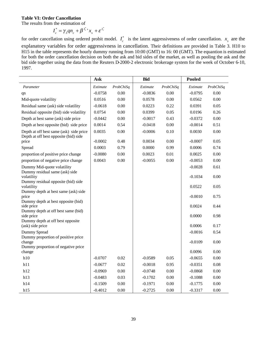#### **Table VI: Order Cancellation**

The results from the estimation of

$$
I_c^* = \gamma_3 q n_c + \beta^{I_c^* \cdot} x_s + \varepsilon^{I_c^*}
$$

for order cancellation using ordered probit model.  $I_c^*$  is the latent aggressiveness of order cancellation.  $x_s$  are the explanatory variables for order aggressivness in cancellation. Their definitions are provided in Table 3. H10 to H15 in the table represents the hourly dummy running from 10:00 (GMT) to 16: 00 (GMT). The equantion is estimated for both the order cancellation decision on both the ask and bid sides of the market, as well as pooling the ask and the bid side together using the data from the Reuters D-2000-2 electronic brokerage system for the week of October 6-10, 1997.

|                                                                                    | Ask       |                  | <b>Bid</b> |                  | <b>Pooled</b> |           |
|------------------------------------------------------------------------------------|-----------|------------------|------------|------------------|---------------|-----------|
| Parameter                                                                          | Estimate  | <b>ProbChiSq</b> | Estimate   | <b>ProbChiSq</b> | Estimate      | ProbChiSq |
| qn                                                                                 | $-0.0758$ | 0.00             | $-0.0836$  | 0.00             | $-0.0795$     | 0.00      |
| Mid-quote volatility                                                               | 0.0516    | 0.00             | 0.0578     | 0.00             | 0.0562        | 0.00      |
| Residual same (ask) side volatility                                                | $-0.0618$ | 0.00             | 0.0223     | 0.22             | 0.0391        | 0.05      |
| Residual opposite (bid) side volatility                                            | 0.0754    | 0.00             | 0.0399     | 0.05             | 0.0196        | 0.26      |
| Depth at best same (ask) side price                                                | $-0.0442$ | 0.00             | $-0.0017$  | 0.43             | $-0.0372$     | 0.00      |
| Depth at best opposite (bid) side price                                            | 0.0014    | 0.54             | $-0.0418$  | 0.00             | $-0.0014$     | 0.51      |
| Depth at off best same (ask) side price<br>Depth at off best opposite (bid) side   | 0.0035    | 0.00             | $-0.0006$  | 0.10             | 0.0030        | 0.00      |
| price                                                                              | $-0.0002$ | 0.48             | 0.0034     | 0.00             | $-0.0007$     | 0.05      |
| Spread                                                                             | 0.0003    | 0.79             | 0.0000     | 0.99             | 0.0006        | 0.74      |
| proportion of positive price change                                                | $-0.0080$ | 0.00             | 0.0023     | 0.01             | 0.0025        | 0.00      |
| proportion of negative price change                                                | 0.0043    | 0.00             | $-0.0055$  | 0.00             | $-0.0053$     | 0.00      |
| Dummy Mid-quote volatility                                                         |           |                  |            |                  | $-0.0028$     | 0.61      |
| Dummy residual same (ask) side<br>volatility<br>Dummy residual opposite (bid) side |           |                  |            |                  | $-0.1034$     | 0.00      |
| volatility<br>Dummy depth at best same (ask) side                                  |           |                  |            |                  | 0.0522        | 0.05      |
| price<br>Dummy depth at best opposite (bid)                                        |           |                  |            |                  | $-0.0010$     | 0.75      |
| side price<br>Dummy depth at off best same (bid)                                   |           |                  |            |                  | 0.0024        | 0.44      |
| side price<br>Dummy depth at off best opposite                                     |           |                  |            |                  | 0.0000        | 0.98      |
| (ask) side price                                                                   |           |                  |            |                  | 0.0006        | 0.17      |
| Dummy Spread                                                                       |           |                  |            |                  | $-0.0016$     | 0.54      |
| Dummy proportion of positive price<br>change<br>Dummy proportion of negative price |           |                  |            |                  | $-0.0109$     | 0.00      |
| change                                                                             |           |                  |            |                  | 0.0096        | 0.00      |
| h10                                                                                | $-0.0707$ | 0.02             | $-0.0589$  | 0.05             | $-0.0655$     | 0.00      |
| h11                                                                                | $-0.0677$ | 0.02             | $-0.0018$  | 0.95             | $-0.0351$     | 0.08      |
| h12                                                                                | $-0.0969$ | 0.00             | $-0.0748$  | 0.00             | $-0.0868$     | 0.00      |
| h13                                                                                | $-0.0483$ | 0.03             | $-0.1702$  | 0.00             | $-0.1088$     | 0.00      |
| h14                                                                                | $-0.1509$ | 0.00             | $-0.1971$  | 0.00             | $-0.1775$     | 0.00      |
| h15                                                                                | $-0.4012$ | 0.00             | $-0.2725$  | 0.00             | $-0.3317$     | 0.00      |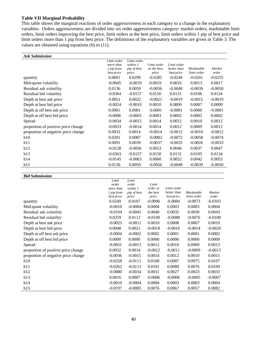#### **Table VII Marginal Probability**

This table shows the marginal reactions of order aggressiveness in each category to a change in the explanatory variables. Orders aggressiveness are divided into six order aggressiveness category: market orders, marketable limit orders, limit orders improving the best price, limit orders at the best price, limit orders within 1 pip of best price and limit orders more than 1 pip from best price. The definitions of the explanatory variables are given in Table 3. The values are obtained using equations  $(6)$  to  $(11)$ .

| <b>Ask Submission</b>               |                                                      |                                                 |                                     |                                          |                           |                 |
|-------------------------------------|------------------------------------------------------|-------------------------------------------------|-------------------------------------|------------------------------------------|---------------------------|-----------------|
|                                     | Limit order<br>more than<br>1 pip from<br>best price | Limit order<br>within 1<br>pip of best<br>price | Limit order<br>at the best<br>price | Limit order<br>better than<br>best price | Marketable<br>limit order | Market<br>order |
| quantity                            | 0.0691                                               | 0.0299                                          | $-0.0285$                           | $-0.0249$                                | $-0.0201$                 | $-0.0255$       |
| Mid-quote volatility                | $-0.0045$                                            | $-0.0019$                                       | 0.0019                              | 0.0016                                   | 0.0013                    | 0.0017          |
| Residual ask volatility             | 0.0136                                               | 0.0059                                          | $-0.0056$                           | $-0.0049$                                | $-0.0039$                 | $-0.0050$       |
| Residual bid volatility             | $-0.0364$                                            | $-0.0157$                                       | 0.0150                              | 0.0131                                   | 0.0106                    | 0.0134          |
| Depth at best ask price             | 0.0051                                               | 0.0022                                          | $-0.0021$                           | $-0.0019$                                | $-0.0015$                 | $-0.0019$       |
| Depth at best bid price             | $-0.0024$                                            | $-0.0010$                                       | 0.0010                              | 0.0009                                   | 0.0007                    | 0.0009          |
| Depth at off best ask price         | 0.0001                                               | 0.0001                                          | $-0.0001$                           | $-0.0001$                                | 0.0000                    | $-0.0001$       |
| Depth at off best bid price         | $-0.0006$                                            | $-0.0003$                                       | 0.0003                              | 0.0002                                   | 0.0002                    | 0.0002          |
| Spread                              | $-0.0034$                                            | $-0.0015$                                       | 0.0014                              | 0.0012                                   | 0.0010                    | 0.0012          |
| proportion of positive price change | $-0.0033$                                            | $-0.0014$                                       | 0.0014                              | 0.0012                                   | 0.0009                    | 0.0012          |
| proportion of negative price change | 0.0033                                               | 0.0014                                          | $-0.0014$                           | $-0.0012$                                | $-0.0010$                 | $-0.0012$       |
| h10                                 | 0.0201                                               | 0.0087                                          | $-0.0083$                           | $-0.0072$                                | $-0.0058$                 | $-0.0074$       |
| h11                                 | 0.0091                                               | 0.0039                                          | $-0.0037$                           | $-0.0033$                                | $-0.0026$                 | $-0.0033$       |
| h12                                 | $-0.0128$                                            | $-0.0056$                                       | 0.0053                              | 0.0046                                   | 0.0037                    | 0.0047          |
| h13                                 | $-0.0363$                                            | $-0.0157$                                       | 0.0150                              | 0.0131                                   | 0.0105                    | 0.0134          |
| h14                                 | $-0.0145$                                            | $-0.0063$                                       | 0.0060                              | 0.0052                                   | 0.0042                    | 0.0053          |
| h15                                 | 0.0136                                               | 0.0059                                          | $-0.0056$                           | $-0.0049$                                | $-0.0039$                 | $-0.0050$       |

| <b>Bid Submission</b>               |                             |                            |                   |                           |                           |                 |
|-------------------------------------|-----------------------------|----------------------------|-------------------|---------------------------|---------------------------|-----------------|
|                                     | Limit<br>order<br>more than | Limit<br>order<br>within 1 | Limit<br>order at | Limit order               |                           |                 |
|                                     | 1 pip from<br>best price    | pip of best<br>price       | the best<br>price | better than<br>best price | Marketable<br>limit order | Market<br>order |
| quantity                            | 0.0249                      | 0.0107                     | $-0.0096$         | $-0.0084$                 | $-0.0073$                 | $-0.0103$       |
| Mid-quote volatility                | $-0.0010$                   | $-0.0004$                  | 0.0004            | 0.0003                    | 0.0003                    | 0.0004          |
| Residual ask volatility             | $-0.0104$                   | $-0.0045$                  | 0.0040            | 0.0035                    | 0.0030                    | 0.0043          |
| Residual bid volatility             | 0.0259                      | 0.0112                     | $-0.0100$         | $-0.0088$                 | $-0.0076$                 | $-0.0108$       |
| Depth at best ask price             | $-0.0025$                   | $-0.0011$                  | 0.0010            | 0.0008                    | 0.0007                    | 0.0010          |
| Depth at best bid price             | 0.0048                      | 0.0021                     | $-0.0018$         | $-0.0016$                 | $-0.0014$                 | $-0.0020$       |
| Depth at off best ask price         | $-0.0004$                   | $-0.0002$                  | 0.0002            | 0.0001                    | 0.0001                    | 0.0002          |
| Depth at off best bid price         | 0.0000                      | 0.0000                     | 0.0000            | 0.0000                    | 0.0000                    | 0.0000          |
| Spread                              | $-0.0031$                   | $-0.0013$                  | 0.0012            | 0.0010                    | 0.0009                    | 0.0013          |
| proportion of positive price change | 0.0032                      | 0.0014                     | $-0.0012$         | $-0.0011$                 | $-0.0009$                 | $-0.0013$       |
| proportion of negative price change | $-0.0036$                   | $-0.0015$                  | 0.0014            | 0.0012                    | 0.0010                    | 0.0015          |
| h10                                 | $-0.0258$                   | $-0.0111$                  | 0.0100            | 0.0087                    | 0.0075                    | 0.0107          |
| h11                                 | $-0.0262$                   | $-0.0113$                  | 0.0101            | 0.0089                    | 0.0076                    | 0.0109          |
| h12                                 | $-0.0080$                   | $-0.0034$                  | 0.0031            | 0.0027                    | 0.0023                    | 0.0033          |
| h13                                 | 0.0016                      | 0.0007                     | $-0.0006$         | $-0.0006$                 | $-0.0005$                 | $-0.0007$       |
| h14                                 | $-0.0010$                   | $-0.0004$                  | 0.0004            | 0.0003                    | 0.0003                    | 0.0004          |
| h15                                 | $-0.0197$                   | $-0.0085$                  | 0.0076            | 0.0067                    | 0.0057                    | 0.0082          |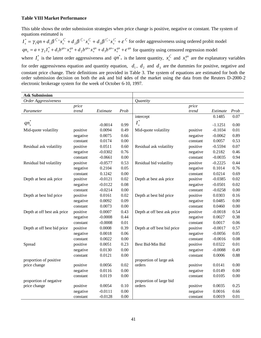#### **Table VIII Market Performance**

This table shows the order submission strategies when price change is positive, negative or constant. The system of

equations estimated is <br>  $I_s^* = \gamma_1 qn + d_1 \beta^{I_s^* \cdot} x_s^{I_s^*} + d_2 \beta^{I_s^* \cdot} x_s^{I_s^*} + d_3 \beta^{I_s^* \cdot} x_s^{I_s^*} + \varepsilon^{I_s^*}$  $I_s^*$   $I$   $I$   $I$ *s*  $I_s^*$   $I$   $I$   $I$ *s*  $I_s^* = \gamma_1 q n + d_1 \beta^{I_s^* \cdot} x_s^{I_s^*} + d_2 \beta^{I_s^* \cdot} x_s^{I_s^*} + d_3 \beta^{I_s^* \cdot} x_s^{I_s^*} + \varepsilon^{I_s^*}$  for order aggressiveness using ordered probit model  $qn_s = a + \gamma_2 I_s^* + d_1 b^{qn} x_s^{qn} + d_2 b^{qn} x_s^{qn} + d_3 b^{qn} x_s^{qn} + \varepsilon^{qn}$  for quantity using censored regression model where  $I_s^*$  is the latent order aggressiveness and  $qn^*$ , is the latent quantity,  $x_s^{I_s^*}$  and  $x_s^{qn}$  are the explanatory variables for order aggressivness equation and quantity equation,  $d_1$ ,  $d_2$  and  $d_3$  are the dummies for positive, negative and constant price change. Their definitions are provided in Table 3. The system of equations are estimated for both the order submission decision on both the ask and bid sides of the market using the data from the Reuters D-2000-2 electronic brokerage system for the week of October 6-10, 1997.

| <b>Ask Submission</b>       |          |           |          |                             |          |           |      |
|-----------------------------|----------|-----------|----------|-----------------------------|----------|-----------|------|
| Order Aggressiveness        |          |           |          | Quantity                    |          |           |      |
|                             | price    |           |          |                             | price    |           |      |
| Parameter                   | trend    | Estimate  | Prob     |                             | trend    | Estimate  | Prob |
|                             |          |           |          | intercept                   |          | 0.1485    | 0.07 |
| $qn_s$                      |          | $-0.0014$ | 0.99     | $I_s^*$                     |          | $-1.1251$ | 0.00 |
| Mid-quote volatility        | positive | 0.0094    | 0.49     | Mid-quote volatility        | positive | $-0.1034$ | 0.01 |
|                             | negative | 0.0075    | 0.66     |                             | negative | $-0.0062$ | 0.89 |
|                             | constant | 0.0174    | 0.00     |                             | constant | 0.0057    | 0.53 |
| Residual ask volatility     | positive | 0.0511    | 0.60     | Residual ask volatility     | positive | $-0.5594$ | 0.07 |
|                             | negative | $-0.0302$ | 0.76     |                             | negative | 0.2182    | 0.46 |
|                             | constant | $-0.0661$ | 0.00     |                             | constant | $-0.0035$ | 0.94 |
| Residual bid volatility     | positive | $-0.0577$ | 0.53     | Residual bid volatility     | positive | $-0.2225$ | 0.44 |
|                             | negative | 0.2104    | 0.05     |                             | negative | 0.1014    | 0.76 |
|                             | constant | 0.1242    | 0.00     |                             | constant | 0.0214    | 0.69 |
| Depth at best ask price     | positive | $-0.0121$ | 0.02     | Depth at best ask price     | positive | $-0.0385$ | 0.02 |
|                             | negative | $-0.0122$ | 0.08     |                             | negative | $-0.0501$ | 0.02 |
|                             | constant | $-0.0214$ | 0.00     |                             | constant | $-0.0258$ | 0.00 |
| Depth at best bid price     | positive | 0.0161    | 0.02     | Depth at best bid price     | positive | 0.0303    | 0.16 |
|                             | negative | 0.0092    | 0.09     |                             | negative | 0.0485    | 0.00 |
|                             | constant | 0.0073    | 0.00     |                             | constant | 0.0460    | 0.00 |
| Depth at off best ask price | positive | 0.0007    | 0.43     | Depth at off best ask price | positive | $-0.0018$ | 0.54 |
|                             | negative | $-0.0008$ | 0.44     |                             | negative | 0.0027    | 0.38 |
|                             | constant | $-0.0008$ | 0.01     |                             | constant | 0.0017    | 0.06 |
| Depth at off best bid price | positive | 0.0008    | 0.39     | Depth at off best bid price | positive | $-0.0017$ | 0.57 |
|                             | negative | 0.0018    | 0.06     |                             | negative | $-0.0056$ | 0.05 |
|                             | constant | 0.0022    | 0.00     |                             | constant | $-0.0016$ | 0.08 |
| Spread                      | positive | 0.0051    | 0.23     | Best Bid-Min Bid            | positive | 0.0322    | 0.01 |
|                             | negative | 0.0130    | 0.00     |                             | negative | $-0.0088$ | 0.49 |
|                             | constant | 0.0121    | $0.00\,$ |                             | constant | 0.0006    | 0.88 |
| proportion of positive      |          |           |          | proportion of large ask     |          |           |      |
| price change                | positive | 0.0056    | 0.02     | orders                      | positive | 0.0141    | 0.00 |
|                             | negative | 0.0116    | 0.00     |                             | negative | 0.0149    | 0.00 |
|                             | constant | 0.0119    | 0.00     |                             | constant | 0.0105    | 0.00 |
| proportion of negative      |          |           |          | proportion of large bid     |          |           |      |
| price change                | positive | 0.0054    | 0.10     | orders                      | positive | 0.0035    | 0.25 |
|                             | negative | $-0.0111$ | 0.00     |                             | negative | 0.0016    | 0.66 |
|                             | constant | $-0.0128$ | 0.00     |                             | constant | 0.0019    | 0.01 |